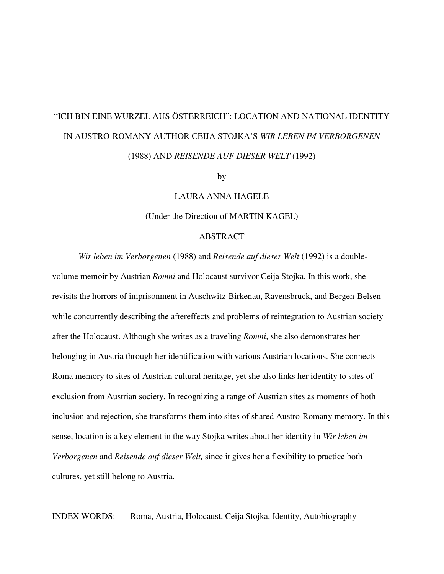# "ICH BIN EINE WURZEL AUS ÖSTERREICH": LOCATION AND NATIONAL IDENTITY IN AUSTRO-ROMANY AUTHOR CEIJA STOJKA'S *WIR LEBEN IM VERBORGENEN*  (1988) AND *REISENDE AUF DIESER WELT* (1992)

by

LAURA ANNA HAGELE

(Under the Direction of MARTIN KAGEL)

#### ABSTRACT

*Wir leben im Verborgenen* (1988) and *Reisende auf dieser Welt* (1992) is a double-

volume memoir by Austrian *Romni* and Holocaust survivor Ceija Stojka. In this work, she revisits the horrors of imprisonment in Auschwitz-Birkenau, Ravensbrück, and Bergen-Belsen while concurrently describing the aftereffects and problems of reintegration to Austrian society after the Holocaust. Although she writes as a traveling *Romni*, she also demonstrates her belonging in Austria through her identification with various Austrian locations. She connects Roma memory to sites of Austrian cultural heritage, yet she also links her identity to sites of exclusion from Austrian society. In recognizing a range of Austrian sites as moments of both inclusion and rejection, she transforms them into sites of shared Austro-Romany memory. In this sense, location is a key element in the way Stojka writes about her identity in *Wir leben im Verborgenen* and *Reisende auf dieser Welt,* since it gives her a flexibility to practice both cultures, yet still belong to Austria.

INDEX WORDS: Roma, Austria, Holocaust, Ceija Stojka, Identity, Autobiography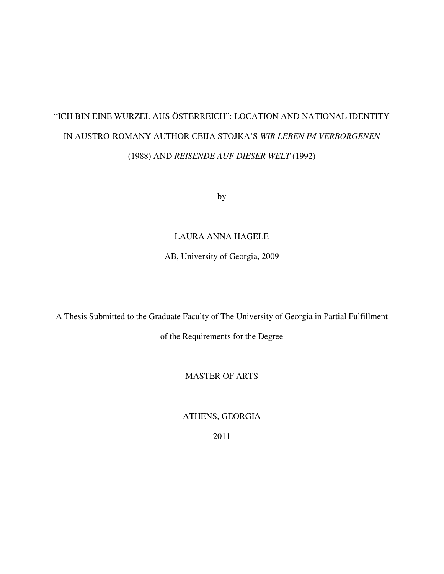# "ICH BIN EINE WURZEL AUS ÖSTERREICH": LOCATION AND NATIONAL IDENTITY IN AUSTRO-ROMANY AUTHOR CEIJA STOJKA'S *WIR LEBEN IM VERBORGENEN*  (1988) AND *REISENDE AUF DIESER WELT* (1992)

by

## LAURA ANNA HAGELE

AB, University of Georgia, 2009

A Thesis Submitted to the Graduate Faculty of The University of Georgia in Partial Fulfillment

of the Requirements for the Degree

## MASTER OF ARTS

ATHENS, GEORGIA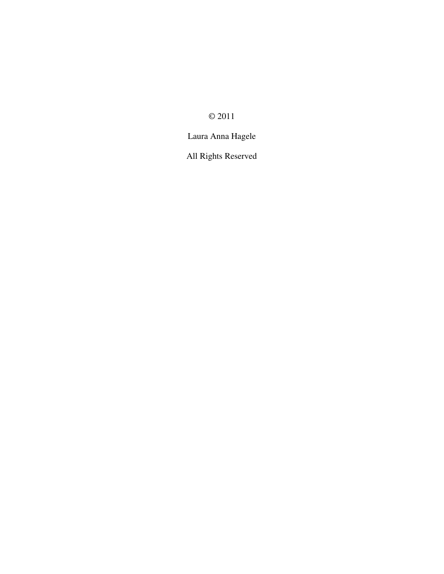© 2011

Laura Anna Hagele

All Rights Reserved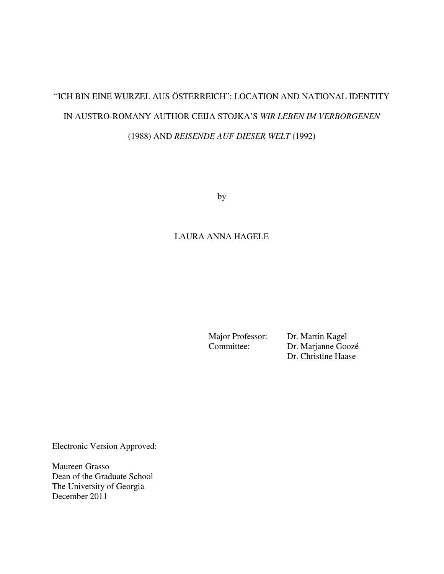# "ICH BIN EINE WURZEL AUS ÖSTERREICH": LOCATION AND NATIONAL IDENTITY IN AUSTRO-ROMANY AUTHOR CEIJA STOJKA'S *WIR LEBEN IM VERBORGENEN*  (1988) AND *REISENDE AUF DIESER WELT* (1992)

by

## LAURA ANNA HAGELE

Major Professor: Dr. Martin Kagel<br>Committee: Dr. Marianne Goo Dr. Marjanne Goozé Dr. Christine Haase

Electronic Version Approved:

Maureen Grasso Dean of the Graduate School The University of Georgia December 2011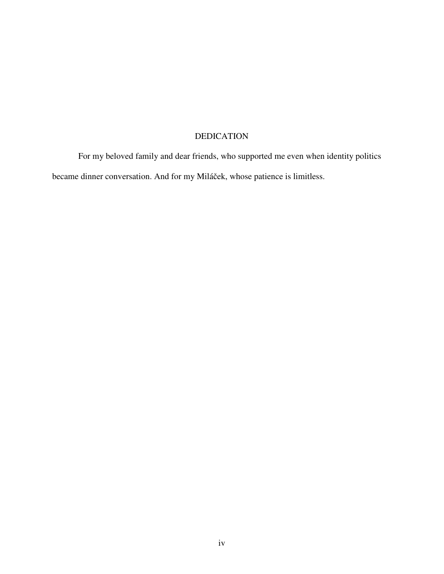# DEDICATION

 For my beloved family and dear friends, who supported me even when identity politics became dinner conversation. And for my Miláček, whose patience is limitless.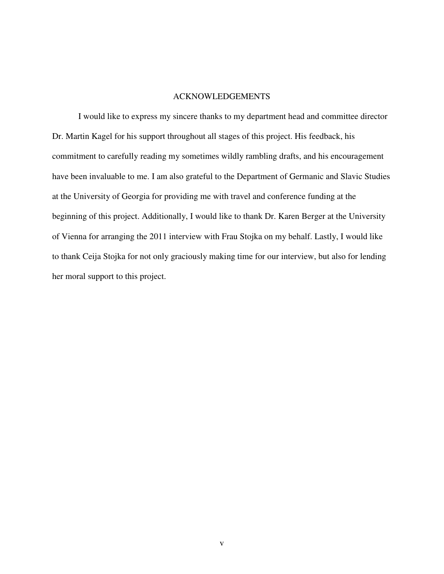#### ACKNOWLEDGEMENTS

 I would like to express my sincere thanks to my department head and committee director Dr. Martin Kagel for his support throughout all stages of this project. His feedback, his commitment to carefully reading my sometimes wildly rambling drafts, and his encouragement have been invaluable to me. I am also grateful to the Department of Germanic and Slavic Studies at the University of Georgia for providing me with travel and conference funding at the beginning of this project. Additionally, I would like to thank Dr. Karen Berger at the University of Vienna for arranging the 2011 interview with Frau Stojka on my behalf. Lastly, I would like to thank Ceija Stojka for not only graciously making time for our interview, but also for lending her moral support to this project.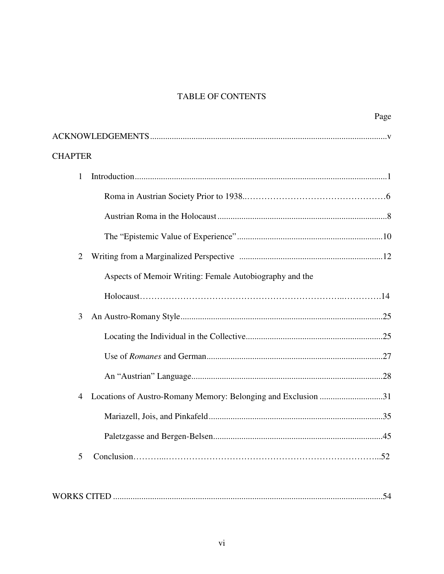# **TABLE OF CONTENTS**

|                |                                                               | Page |
|----------------|---------------------------------------------------------------|------|
|                |                                                               |      |
| <b>CHAPTER</b> |                                                               |      |
| 1              |                                                               |      |
|                |                                                               |      |
|                |                                                               |      |
|                |                                                               |      |
| $\overline{2}$ |                                                               |      |
|                | Aspects of Memoir Writing: Female Autobiography and the       |      |
|                |                                                               |      |
| 3              |                                                               |      |
|                |                                                               |      |
|                |                                                               |      |
|                |                                                               |      |
| 4              | Locations of Austro-Romany Memory: Belonging and Exclusion 31 |      |
|                |                                                               |      |
|                |                                                               | .45  |
| 5              |                                                               |      |
|                |                                                               |      |
|                |                                                               |      |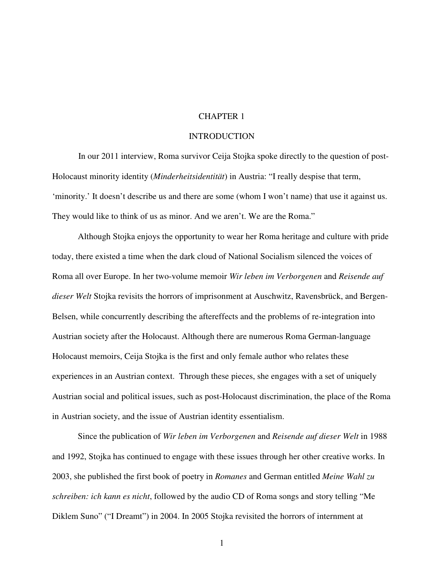### CHAPTER 1

#### **INTRODUCTION**

 In our 2011 interview, Roma survivor Ceija Stojka spoke directly to the question of post-Holocaust minority identity (*Minderheitsidentität*) in Austria: "I really despise that term, 'minority.' It doesn't describe us and there are some (whom I won't name) that use it against us. They would like to think of us as minor. And we aren't. We are the Roma."

Although Stojka enjoys the opportunity to wear her Roma heritage and culture with pride today, there existed a time when the dark cloud of National Socialism silenced the voices of Roma all over Europe. In her two-volume memoir *Wir leben im Verborgenen* and *Reisende auf dieser Welt* Stojka revisits the horrors of imprisonment at Auschwitz, Ravensbrück, and Bergen-Belsen, while concurrently describing the aftereffects and the problems of re-integration into Austrian society after the Holocaust. Although there are numerous Roma German-language Holocaust memoirs, Ceija Stojka is the first and only female author who relates these experiences in an Austrian context. Through these pieces, she engages with a set of uniquely Austrian social and political issues, such as post-Holocaust discrimination, the place of the Roma in Austrian society, and the issue of Austrian identity essentialism.

Since the publication of *Wir leben im Verborgenen* and *Reisende auf dieser Welt* in 1988 and 1992, Stojka has continued to engage with these issues through her other creative works. In 2003, she published the first book of poetry in *Romanes* and German entitled *Meine Wahl zu schreiben: ich kann es nicht*, followed by the audio CD of Roma songs and story telling "Me Diklem Suno" ("I Dreamt") in 2004. In 2005 Stojka revisited the horrors of internment at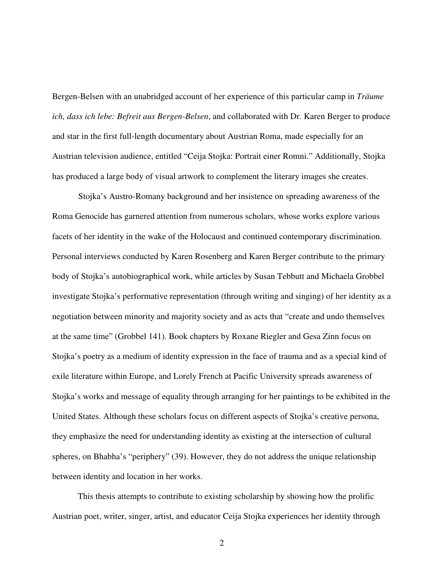Bergen-Belsen with an unabridged account of her experience of this particular camp in *Träume ich, dass ich lebe: Befreit aus Bergen-Belsen*, and collaborated with Dr. Karen Berger to produce and star in the first full-length documentary about Austrian Roma, made especially for an Austrian television audience, entitled "Ceija Stojka: Portrait einer Romni." Additionally, Stojka has produced a large body of visual artwork to complement the literary images she creates.

 Stojka's Austro-Romany background and her insistence on spreading awareness of the Roma Genocide has garnered attention from numerous scholars, whose works explore various facets of her identity in the wake of the Holocaust and continued contemporary discrimination. Personal interviews conducted by Karen Rosenberg and Karen Berger contribute to the primary body of Stojka's autobiographical work, while articles by Susan Tebbutt and Michaela Grobbel investigate Stojka's performative representation (through writing and singing) of her identity as a negotiation between minority and majority society and as acts that "create and undo themselves at the same time" (Grobbel 141). Book chapters by Roxane Riegler and Gesa Zinn focus on Stojka's poetry as a medium of identity expression in the face of trauma and as a special kind of exile literature within Europe, and Lorely French at Pacific University spreads awareness of Stojka's works and message of equality through arranging for her paintings to be exhibited in the United States. Although these scholars focus on different aspects of Stojka's creative persona, they emphasize the need for understanding identity as existing at the intersection of cultural spheres, on Bhabha's "periphery" (39). However, they do not address the unique relationship between identity and location in her works.

This thesis attempts to contribute to existing scholarship by showing how the prolific Austrian poet, writer, singer, artist, and educator Ceija Stojka experiences her identity through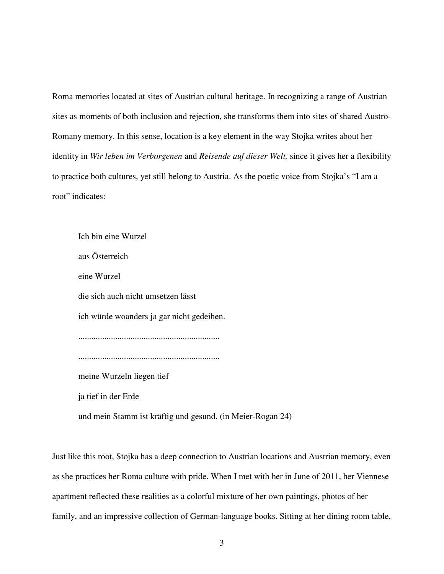Roma memories located at sites of Austrian cultural heritage. In recognizing a range of Austrian sites as moments of both inclusion and rejection, she transforms them into sites of shared Austro-Romany memory. In this sense, location is a key element in the way Stojka writes about her identity in *Wir leben im Verborgenen* and *Reisende auf dieser Welt,* since it gives her a flexibility to practice both cultures, yet still belong to Austria. As the poetic voice from Stojka's "I am a root" indicates:

 Ich bin eine Wurzel aus Österreich eine Wurzel die sich auch nicht umsetzen lässt ich würde woanders ja gar nicht gedeihen. ................................................................. ................................................................. meine Wurzeln liegen tief ja tief in der Erde und mein Stamm ist kräftig und gesund. (in Meier-Rogan 24)

Just like this root, Stojka has a deep connection to Austrian locations and Austrian memory, even as she practices her Roma culture with pride. When I met with her in June of 2011, her Viennese apartment reflected these realities as a colorful mixture of her own paintings, photos of her family, and an impressive collection of German-language books. Sitting at her dining room table,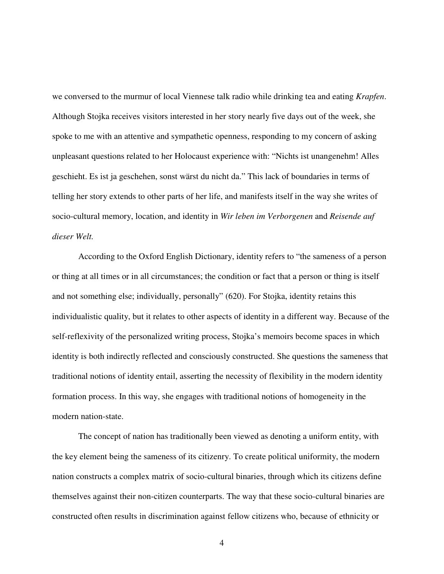we conversed to the murmur of local Viennese talk radio while drinking tea and eating *Krapfen*. Although Stojka receives visitors interested in her story nearly five days out of the week, she spoke to me with an attentive and sympathetic openness, responding to my concern of asking unpleasant questions related to her Holocaust experience with: "Nichts ist unangenehm! Alles geschieht. Es ist ja geschehen, sonst wärst du nicht da." This lack of boundaries in terms of telling her story extends to other parts of her life, and manifests itself in the way she writes of socio-cultural memory, location, and identity in *Wir leben im Verborgenen* and *Reisende auf dieser Welt.* 

 According to the Oxford English Dictionary, identity refers to "the sameness of a person or thing at all times or in all circumstances; the condition or fact that a person or thing is itself and not something else; individually, personally" (620). For Stojka, identity retains this individualistic quality, but it relates to other aspects of identity in a different way. Because of the self-reflexivity of the personalized writing process, Stojka's memoirs become spaces in which identity is both indirectly reflected and consciously constructed. She questions the sameness that traditional notions of identity entail, asserting the necessity of flexibility in the modern identity formation process. In this way, she engages with traditional notions of homogeneity in the modern nation-state.

 The concept of nation has traditionally been viewed as denoting a uniform entity, with the key element being the sameness of its citizenry. To create political uniformity, the modern nation constructs a complex matrix of socio-cultural binaries, through which its citizens define themselves against their non-citizen counterparts. The way that these socio-cultural binaries are constructed often results in discrimination against fellow citizens who, because of ethnicity or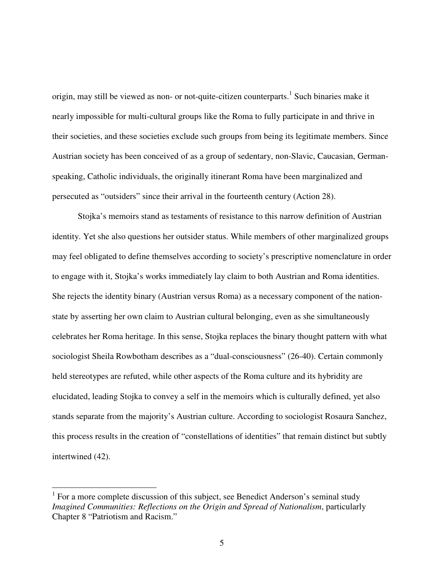origin, may still be viewed as non- or not-quite-citizen counterparts.<sup>1</sup> Such binaries make it nearly impossible for multi-cultural groups like the Roma to fully participate in and thrive in their societies, and these societies exclude such groups from being its legitimate members. Since Austrian society has been conceived of as a group of sedentary, non-Slavic, Caucasian, Germanspeaking, Catholic individuals, the originally itinerant Roma have been marginalized and persecuted as "outsiders" since their arrival in the fourteenth century (Action 28).

Stojka's memoirs stand as testaments of resistance to this narrow definition of Austrian identity. Yet she also questions her outsider status. While members of other marginalized groups may feel obligated to define themselves according to society's prescriptive nomenclature in order to engage with it, Stojka's works immediately lay claim to both Austrian and Roma identities. She rejects the identity binary (Austrian versus Roma) as a necessary component of the nationstate by asserting her own claim to Austrian cultural belonging, even as she simultaneously celebrates her Roma heritage. In this sense, Stojka replaces the binary thought pattern with what sociologist Sheila Rowbotham describes as a "dual-consciousness" (26-40). Certain commonly held stereotypes are refuted, while other aspects of the Roma culture and its hybridity are elucidated, leading Stojka to convey a self in the memoirs which is culturally defined, yet also stands separate from the majority's Austrian culture. According to sociologist Rosaura Sanchez, this process results in the creation of "constellations of identities" that remain distinct but subtly intertwined (42).

 $\overline{a}$ 

<sup>&</sup>lt;sup>1</sup> For a more complete discussion of this subject, see Benedict Anderson's seminal study *Imagined Communities: Reflections on the Origin and Spread of Nationalism*, particularly Chapter 8 "Patriotism and Racism."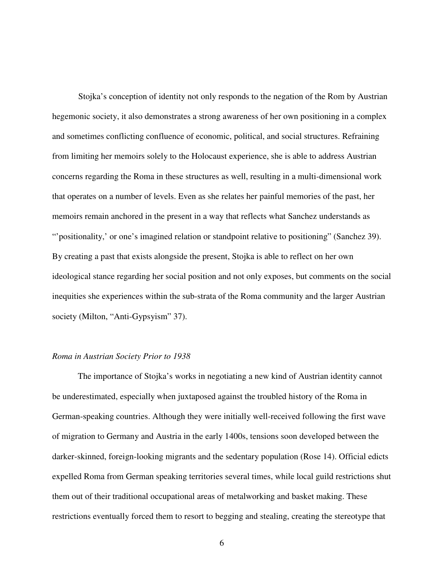Stojka's conception of identity not only responds to the negation of the Rom by Austrian hegemonic society, it also demonstrates a strong awareness of her own positioning in a complex and sometimes conflicting confluence of economic, political, and social structures. Refraining from limiting her memoirs solely to the Holocaust experience, she is able to address Austrian concerns regarding the Roma in these structures as well, resulting in a multi-dimensional work that operates on a number of levels. Even as she relates her painful memories of the past, her memoirs remain anchored in the present in a way that reflects what Sanchez understands as "'positionality,' or one's imagined relation or standpoint relative to positioning" (Sanchez 39). By creating a past that exists alongside the present, Stojka is able to reflect on her own ideological stance regarding her social position and not only exposes, but comments on the social inequities she experiences within the sub-strata of the Roma community and the larger Austrian society (Milton, "Anti-Gypsyism" 37).

#### *Roma in Austrian Society Prior to 1938*

The importance of Stojka's works in negotiating a new kind of Austrian identity cannot be underestimated, especially when juxtaposed against the troubled history of the Roma in German-speaking countries. Although they were initially well-received following the first wave of migration to Germany and Austria in the early 1400s, tensions soon developed between the darker-skinned, foreign-looking migrants and the sedentary population (Rose 14). Official edicts expelled Roma from German speaking territories several times, while local guild restrictions shut them out of their traditional occupational areas of metalworking and basket making. These restrictions eventually forced them to resort to begging and stealing, creating the stereotype that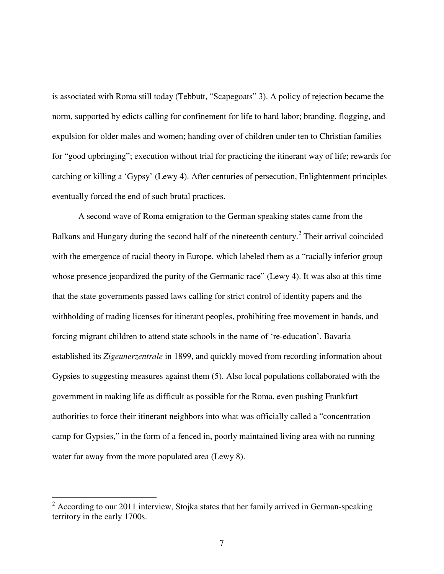is associated with Roma still today (Tebbutt, "Scapegoats" 3). A policy of rejection became the norm, supported by edicts calling for confinement for life to hard labor; branding, flogging, and expulsion for older males and women; handing over of children under ten to Christian families for "good upbringing"; execution without trial for practicing the itinerant way of life; rewards for catching or killing a 'Gypsy' (Lewy 4). After centuries of persecution, Enlightenment principles eventually forced the end of such brutal practices.

 A second wave of Roma emigration to the German speaking states came from the Balkans and Hungary during the second half of the nineteenth century.<sup>2</sup> Their arrival coincided with the emergence of racial theory in Europe, which labeled them as a "racially inferior group whose presence jeopardized the purity of the Germanic race" (Lewy 4). It was also at this time that the state governments passed laws calling for strict control of identity papers and the withholding of trading licenses for itinerant peoples, prohibiting free movement in bands, and forcing migrant children to attend state schools in the name of 're-education'. Bavaria established its *Zigeunerzentrale* in 1899, and quickly moved from recording information about Gypsies to suggesting measures against them (5). Also local populations collaborated with the government in making life as difficult as possible for the Roma, even pushing Frankfurt authorities to force their itinerant neighbors into what was officially called a "concentration camp for Gypsies," in the form of a fenced in, poorly maintained living area with no running water far away from the more populated area (Lewy 8).

<sup>&</sup>lt;sup>2</sup> According to our 2011 interview, Stojka states that her family arrived in German-speaking territory in the early 1700s.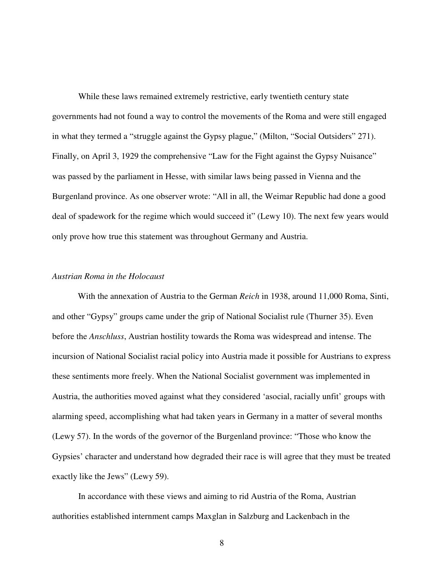While these laws remained extremely restrictive, early twentieth century state governments had not found a way to control the movements of the Roma and were still engaged in what they termed a "struggle against the Gypsy plague," (Milton, "Social Outsiders" 271). Finally, on April 3, 1929 the comprehensive "Law for the Fight against the Gypsy Nuisance" was passed by the parliament in Hesse, with similar laws being passed in Vienna and the Burgenland province. As one observer wrote: "All in all, the Weimar Republic had done a good deal of spadework for the regime which would succeed it" (Lewy 10). The next few years would only prove how true this statement was throughout Germany and Austria.

### *Austrian Roma in the Holocaust*

With the annexation of Austria to the German *Reich* in 1938, around 11,000 Roma, Sinti, and other "Gypsy" groups came under the grip of National Socialist rule (Thurner 35). Even before the *Anschluss*, Austrian hostility towards the Roma was widespread and intense. The incursion of National Socialist racial policy into Austria made it possible for Austrians to express these sentiments more freely. When the National Socialist government was implemented in Austria, the authorities moved against what they considered 'asocial, racially unfit' groups with alarming speed, accomplishing what had taken years in Germany in a matter of several months (Lewy 57). In the words of the governor of the Burgenland province: "Those who know the Gypsies' character and understand how degraded their race is will agree that they must be treated exactly like the Jews" (Lewy 59).

 In accordance with these views and aiming to rid Austria of the Roma, Austrian authorities established internment camps Maxglan in Salzburg and Lackenbach in the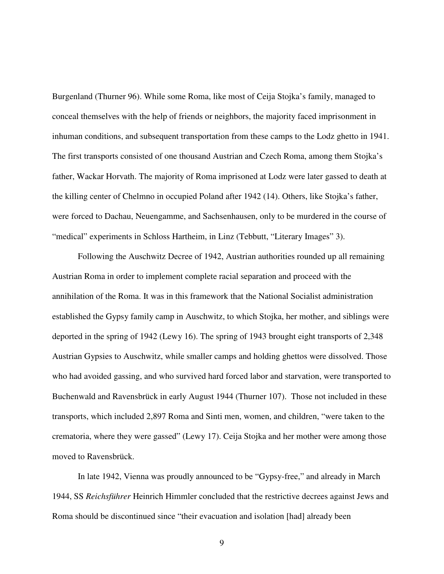Burgenland (Thurner 96). While some Roma, like most of Ceija Stojka's family, managed to conceal themselves with the help of friends or neighbors, the majority faced imprisonment in inhuman conditions, and subsequent transportation from these camps to the Lodz ghetto in 1941. The first transports consisted of one thousand Austrian and Czech Roma, among them Stojka's father, Wackar Horvath. The majority of Roma imprisoned at Lodz were later gassed to death at the killing center of Chelmno in occupied Poland after 1942 (14). Others, like Stojka's father, were forced to Dachau, Neuengamme, and Sachsenhausen, only to be murdered in the course of "medical" experiments in Schloss Hartheim, in Linz (Tebbutt, "Literary Images" 3).

Following the Auschwitz Decree of 1942, Austrian authorities rounded up all remaining Austrian Roma in order to implement complete racial separation and proceed with the annihilation of the Roma. It was in this framework that the National Socialist administration established the Gypsy family camp in Auschwitz, to which Stojka, her mother, and siblings were deported in the spring of 1942 (Lewy 16). The spring of 1943 brought eight transports of 2,348 Austrian Gypsies to Auschwitz, while smaller camps and holding ghettos were dissolved. Those who had avoided gassing, and who survived hard forced labor and starvation, were transported to Buchenwald and Ravensbrück in early August 1944 (Thurner 107). Those not included in these transports, which included 2,897 Roma and Sinti men, women, and children, "were taken to the crematoria, where they were gassed" (Lewy 17). Ceija Stojka and her mother were among those moved to Ravensbrück.

In late 1942, Vienna was proudly announced to be "Gypsy-free," and already in March 1944, SS *Reichsführer* Heinrich Himmler concluded that the restrictive decrees against Jews and Roma should be discontinued since "their evacuation and isolation [had] already been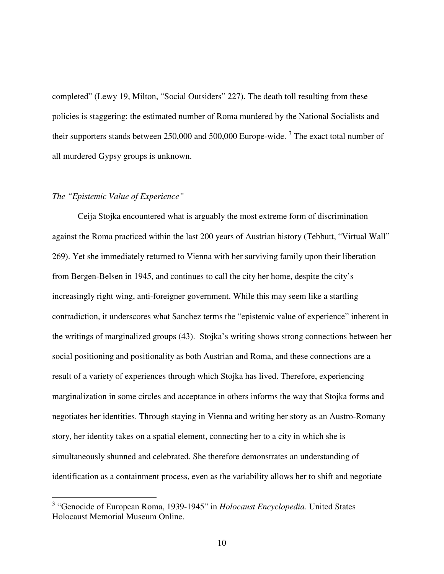completed" (Lewy 19, Milton, "Social Outsiders" 227). The death toll resulting from these policies is staggering: the estimated number of Roma murdered by the National Socialists and their supporters stands between  $250,000$  and  $500,000$  Europe-wide.<sup>3</sup> The exact total number of all murdered Gypsy groups is unknown.

### *The "Epistemic Value of Experience"*

 $\overline{a}$ 

Ceija Stojka encountered what is arguably the most extreme form of discrimination against the Roma practiced within the last 200 years of Austrian history (Tebbutt, "Virtual Wall" 269). Yet she immediately returned to Vienna with her surviving family upon their liberation from Bergen-Belsen in 1945, and continues to call the city her home, despite the city's increasingly right wing, anti-foreigner government. While this may seem like a startling contradiction, it underscores what Sanchez terms the "epistemic value of experience" inherent in the writings of marginalized groups (43). Stojka's writing shows strong connections between her social positioning and positionality as both Austrian and Roma, and these connections are a result of a variety of experiences through which Stojka has lived. Therefore, experiencing marginalization in some circles and acceptance in others informs the way that Stojka forms and negotiates her identities. Through staying in Vienna and writing her story as an Austro-Romany story, her identity takes on a spatial element, connecting her to a city in which she is simultaneously shunned and celebrated. She therefore demonstrates an understanding of identification as a containment process, even as the variability allows her to shift and negotiate

<sup>3</sup> "Genocide of European Roma, 1939-1945" in *Holocaust Encyclopedia.* United States Holocaust Memorial Museum Online.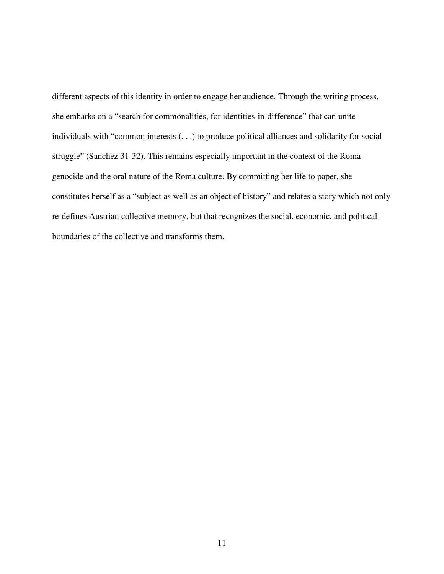different aspects of this identity in order to engage her audience. Through the writing process, she embarks on a "search for commonalities, for identities-in-difference" that can unite individuals with "common interests (. . .) to produce political alliances and solidarity for social struggle" (Sanchez 31-32). This remains especially important in the context of the Roma genocide and the oral nature of the Roma culture. By committing her life to paper, she constitutes herself as a "subject as well as an object of history" and relates a story which not only re-defines Austrian collective memory, but that recognizes the social, economic, and political boundaries of the collective and transforms them.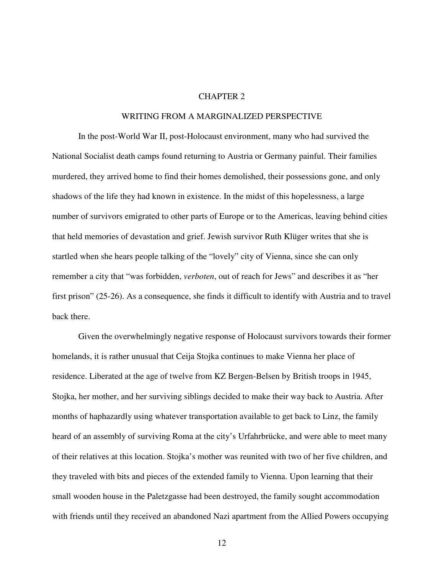#### CHAPTER 2

#### WRITING FROM A MARGINALIZED PERSPECTIVE

In the post-World War II, post-Holocaust environment, many who had survived the National Socialist death camps found returning to Austria or Germany painful. Their families murdered, they arrived home to find their homes demolished, their possessions gone, and only shadows of the life they had known in existence. In the midst of this hopelessness, a large number of survivors emigrated to other parts of Europe or to the Americas, leaving behind cities that held memories of devastation and grief. Jewish survivor Ruth Klüger writes that she is startled when she hears people talking of the "lovely" city of Vienna, since she can only remember a city that "was forbidden, *verboten*, out of reach for Jews" and describes it as "her first prison" (25-26). As a consequence, she finds it difficult to identify with Austria and to travel back there.

Given the overwhelmingly negative response of Holocaust survivors towards their former homelands, it is rather unusual that Ceija Stojka continues to make Vienna her place of residence. Liberated at the age of twelve from KZ Bergen-Belsen by British troops in 1945, Stojka, her mother, and her surviving siblings decided to make their way back to Austria. After months of haphazardly using whatever transportation available to get back to Linz, the family heard of an assembly of surviving Roma at the city's Urfahrbrücke, and were able to meet many of their relatives at this location. Stojka's mother was reunited with two of her five children, and they traveled with bits and pieces of the extended family to Vienna. Upon learning that their small wooden house in the Paletzgasse had been destroyed, the family sought accommodation with friends until they received an abandoned Nazi apartment from the Allied Powers occupying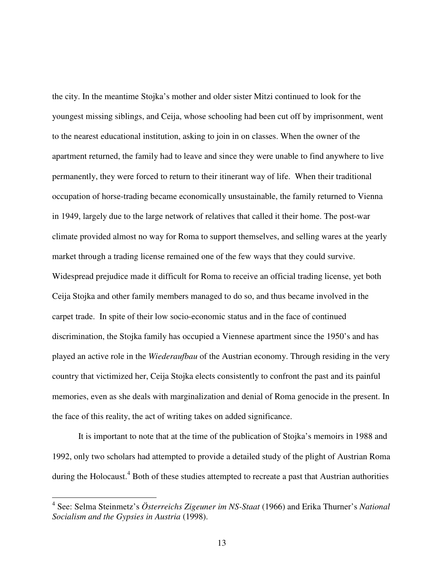the city. In the meantime Stojka's mother and older sister Mitzi continued to look for the youngest missing siblings, and Ceija, whose schooling had been cut off by imprisonment, went to the nearest educational institution, asking to join in on classes. When the owner of the apartment returned, the family had to leave and since they were unable to find anywhere to live permanently, they were forced to return to their itinerant way of life. When their traditional occupation of horse-trading became economically unsustainable, the family returned to Vienna in 1949, largely due to the large network of relatives that called it their home. The post-war climate provided almost no way for Roma to support themselves, and selling wares at the yearly market through a trading license remained one of the few ways that they could survive. Widespread prejudice made it difficult for Roma to receive an official trading license, yet both Ceija Stojka and other family members managed to do so, and thus became involved in the carpet trade. In spite of their low socio-economic status and in the face of continued discrimination, the Stojka family has occupied a Viennese apartment since the 1950's and has played an active role in the *Wiederaufbau* of the Austrian economy. Through residing in the very country that victimized her, Ceija Stojka elects consistently to confront the past and its painful memories, even as she deals with marginalization and denial of Roma genocide in the present. In the face of this reality, the act of writing takes on added significance.

It is important to note that at the time of the publication of Stojka's memoirs in 1988 and 1992, only two scholars had attempted to provide a detailed study of the plight of Austrian Roma during the Holocaust.<sup>4</sup> Both of these studies attempted to recreate a past that Austrian authorities

 $\overline{a}$ 

<sup>4</sup> See: Selma Steinmetz's *Österreichs Zigeuner im NS-Staat* (1966) and Erika Thurner's *National Socialism and the Gypsies in Austria* (1998).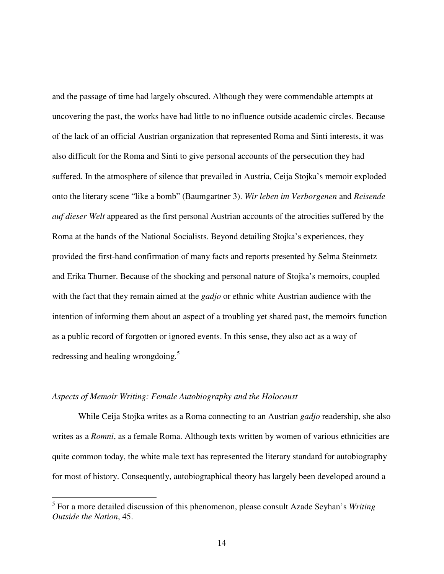and the passage of time had largely obscured. Although they were commendable attempts at uncovering the past, the works have had little to no influence outside academic circles. Because of the lack of an official Austrian organization that represented Roma and Sinti interests, it was also difficult for the Roma and Sinti to give personal accounts of the persecution they had suffered. In the atmosphere of silence that prevailed in Austria, Ceija Stojka's memoir exploded onto the literary scene "like a bomb" (Baumgartner 3). *Wir leben im Verborgenen* and *Reisende auf dieser Welt* appeared as the first personal Austrian accounts of the atrocities suffered by the Roma at the hands of the National Socialists. Beyond detailing Stojka's experiences, they provided the first-hand confirmation of many facts and reports presented by Selma Steinmetz and Erika Thurner. Because of the shocking and personal nature of Stojka's memoirs, coupled with the fact that they remain aimed at the *gadjo* or ethnic white Austrian audience with the intention of informing them about an aspect of a troubling yet shared past, the memoirs function as a public record of forgotten or ignored events. In this sense, they also act as a way of redressing and healing wrongdoing.<sup>5</sup>

#### *Aspects of Memoir Writing: Female Autobiography and the Holocaust*

 $\overline{a}$ 

While Ceija Stojka writes as a Roma connecting to an Austrian *gadjo* readership, she also writes as a *Romni*, as a female Roma. Although texts written by women of various ethnicities are quite common today, the white male text has represented the literary standard for autobiography for most of history. Consequently, autobiographical theory has largely been developed around a

<sup>5</sup> For a more detailed discussion of this phenomenon, please consult Azade Seyhan's *Writing Outside the Nation*, 45.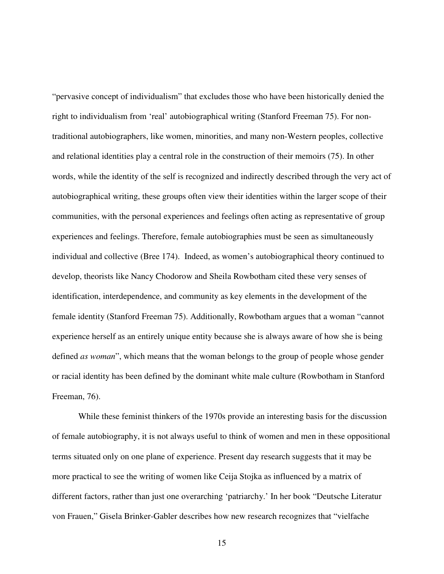"pervasive concept of individualism" that excludes those who have been historically denied the right to individualism from 'real' autobiographical writing (Stanford Freeman 75). For nontraditional autobiographers, like women, minorities, and many non-Western peoples, collective and relational identities play a central role in the construction of their memoirs (75). In other words, while the identity of the self is recognized and indirectly described through the very act of autobiographical writing, these groups often view their identities within the larger scope of their communities, with the personal experiences and feelings often acting as representative of group experiences and feelings. Therefore, female autobiographies must be seen as simultaneously individual and collective (Bree 174). Indeed, as women's autobiographical theory continued to develop, theorists like Nancy Chodorow and Sheila Rowbotham cited these very senses of identification, interdependence, and community as key elements in the development of the female identity (Stanford Freeman 75). Additionally, Rowbotham argues that a woman "cannot experience herself as an entirely unique entity because she is always aware of how she is being defined *as woman*", which means that the woman belongs to the group of people whose gender or racial identity has been defined by the dominant white male culture (Rowbotham in Stanford Freeman, 76).

While these feminist thinkers of the 1970s provide an interesting basis for the discussion of female autobiography, it is not always useful to think of women and men in these oppositional terms situated only on one plane of experience. Present day research suggests that it may be more practical to see the writing of women like Ceija Stojka as influenced by a matrix of different factors, rather than just one overarching 'patriarchy.' In her book "Deutsche Literatur von Frauen," Gisela Brinker-Gabler describes how new research recognizes that "vielfache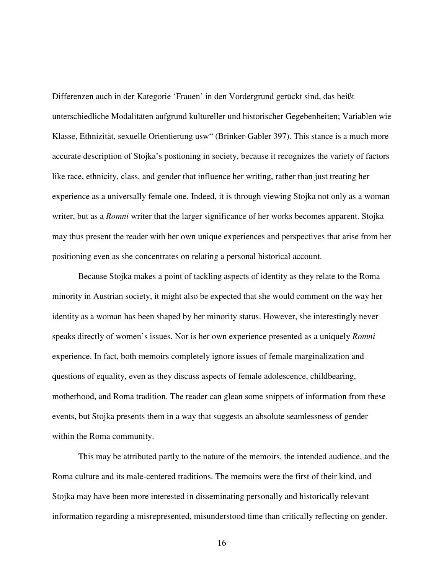Differenzen auch in der Kategorie 'Frauen' in den Vordergrund gerückt sind, das heißt unterschiedliche Modalitäten aufgrund kultureller und historischer Gegebenheiten; Variablen wie Klasse, Ethnizität, sexuelle Orientierung usw" (Brinker-Gabler 397). This stance is a much more accurate description of Stojka's postioning in society, because it recognizes the variety of factors like race, ethnicity, class, and gender that influence her writing, rather than just treating her experience as a universally female one. Indeed, it is through viewing Stojka not only as a woman writer, but as a *Romni* writer that the larger significance of her works becomes apparent. Stojka may thus present the reader with her own unique experiences and perspectives that arise from her positioning even as she concentrates on relating a personal historical account.

Because Stojka makes a point of tackling aspects of identity as they relate to the Roma minority in Austrian society, it might also be expected that she would comment on the way her identity as a woman has been shaped by her minority status. However, she interestingly never speaks directly of women's issues. Nor is her own experience presented as a uniquely *Romni* experience. In fact, both memoirs completely ignore issues of female marginalization and questions of equality, even as they discuss aspects of female adolescence, childbearing, motherhood, and Roma tradition. The reader can glean some snippets of information from these events, but Stojka presents them in a way that suggests an absolute seamlessness of gender within the Roma community.

This may be attributed partly to the nature of the memoirs, the intended audience, and the Roma culture and its male-centered traditions. The memoirs were the first of their kind, and Stojka may have been more interested in disseminating personally and historically relevant information regarding a misrepresented, misunderstood time than critically reflecting on gender.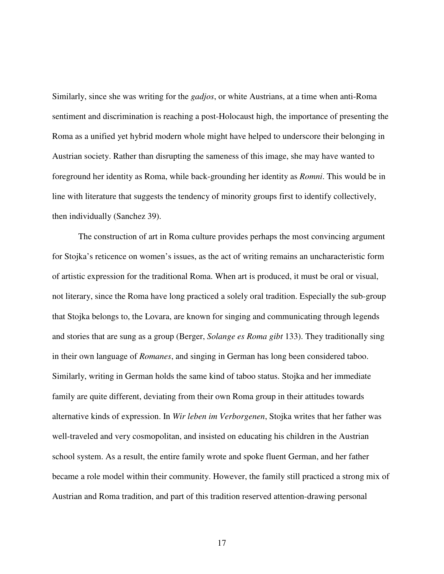Similarly, since she was writing for the *gadjos*, or white Austrians, at a time when anti-Roma sentiment and discrimination is reaching a post-Holocaust high, the importance of presenting the Roma as a unified yet hybrid modern whole might have helped to underscore their belonging in Austrian society. Rather than disrupting the sameness of this image, she may have wanted to foreground her identity as Roma, while back-grounding her identity as *Romni*. This would be in line with literature that suggests the tendency of minority groups first to identify collectively, then individually (Sanchez 39).

The construction of art in Roma culture provides perhaps the most convincing argument for Stojka's reticence on women's issues, as the act of writing remains an uncharacteristic form of artistic expression for the traditional Roma. When art is produced, it must be oral or visual, not literary, since the Roma have long practiced a solely oral tradition. Especially the sub-group that Stojka belongs to, the Lovara, are known for singing and communicating through legends and stories that are sung as a group (Berger, *Solange es Roma gibt* 133). They traditionally sing in their own language of *Romanes*, and singing in German has long been considered taboo. Similarly, writing in German holds the same kind of taboo status. Stojka and her immediate family are quite different, deviating from their own Roma group in their attitudes towards alternative kinds of expression. In *Wir leben im Verborgenen*, Stojka writes that her father was well-traveled and very cosmopolitan, and insisted on educating his children in the Austrian school system. As a result, the entire family wrote and spoke fluent German, and her father became a role model within their community. However, the family still practiced a strong mix of Austrian and Roma tradition, and part of this tradition reserved attention-drawing personal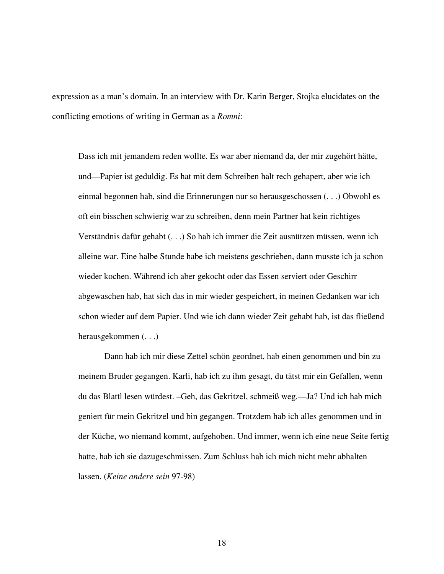expression as a man's domain. In an interview with Dr. Karin Berger, Stojka elucidates on the conflicting emotions of writing in German as a *Romni*:

Dass ich mit jemandem reden wollte. Es war aber niemand da, der mir zugehört hätte, und—Papier ist geduldig. Es hat mit dem Schreiben halt rech gehapert, aber wie ich einmal begonnen hab, sind die Erinnerungen nur so herausgeschossen (. . .) Obwohl es oft ein bisschen schwierig war zu schreiben, denn mein Partner hat kein richtiges Verständnis dafür gehabt (. . .) So hab ich immer die Zeit ausnützen müssen, wenn ich alleine war. Eine halbe Stunde habe ich meistens geschrieben, dann musste ich ja schon wieder kochen. Während ich aber gekocht oder das Essen serviert oder Geschirr abgewaschen hab, hat sich das in mir wieder gespeichert, in meinen Gedanken war ich schon wieder auf dem Papier. Und wie ich dann wieder Zeit gehabt hab, ist das fließend herausgekommen (. . .)

 Dann hab ich mir diese Zettel schön geordnet, hab einen genommen und bin zu meinem Bruder gegangen. Karli, hab ich zu ihm gesagt, du tätst mir ein Gefallen, wenn du das Blattl lesen würdest. –Geh, das Gekritzel, schmeiß weg.—Ja? Und ich hab mich geniert für mein Gekritzel und bin gegangen. Trotzdem hab ich alles genommen und in der Küche, wo niemand kommt, aufgehoben. Und immer, wenn ich eine neue Seite fertig hatte, hab ich sie dazugeschmissen. Zum Schluss hab ich mich nicht mehr abhalten lassen. (*Keine andere sein* 97-98)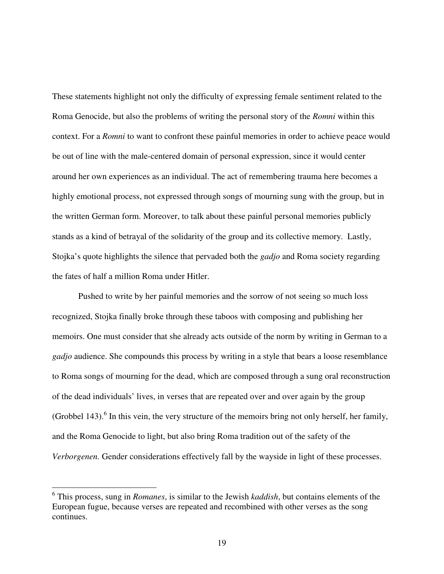These statements highlight not only the difficulty of expressing female sentiment related to the Roma Genocide, but also the problems of writing the personal story of the *Romni* within this context. For a *Romni* to want to confront these painful memories in order to achieve peace would be out of line with the male-centered domain of personal expression, since it would center around her own experiences as an individual. The act of remembering trauma here becomes a highly emotional process, not expressed through songs of mourning sung with the group, but in the written German form. Moreover, to talk about these painful personal memories publicly stands as a kind of betrayal of the solidarity of the group and its collective memory. Lastly, Stojka's quote highlights the silence that pervaded both the *gadjo* and Roma society regarding the fates of half a million Roma under Hitler.

Pushed to write by her painful memories and the sorrow of not seeing so much loss recognized, Stojka finally broke through these taboos with composing and publishing her memoirs. One must consider that she already acts outside of the norm by writing in German to a *gadjo* audience. She compounds this process by writing in a style that bears a loose resemblance to Roma songs of mourning for the dead, which are composed through a sung oral reconstruction of the dead individuals' lives, in verses that are repeated over and over again by the group (Grobbel 143).<sup>6</sup> In this vein, the very structure of the memoirs bring not only herself, her family, and the Roma Genocide to light, but also bring Roma tradition out of the safety of the *Verborgenen.* Gender considerations effectively fall by the wayside in light of these processes.

 $\overline{a}$ 

<sup>6</sup> This process, sung in *Romanes*, is similar to the Jewish *kaddish*, but contains elements of the European fugue, because verses are repeated and recombined with other verses as the song continues.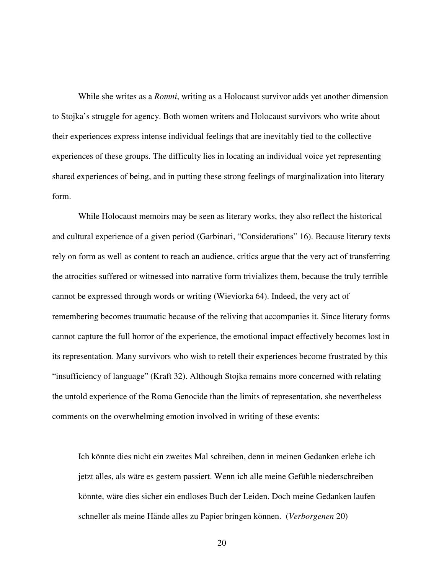While she writes as a *Romni*, writing as a Holocaust survivor adds yet another dimension to Stojka's struggle for agency. Both women writers and Holocaust survivors who write about their experiences express intense individual feelings that are inevitably tied to the collective experiences of these groups. The difficulty lies in locating an individual voice yet representing shared experiences of being, and in putting these strong feelings of marginalization into literary form.

While Holocaust memoirs may be seen as literary works, they also reflect the historical and cultural experience of a given period (Garbinari, "Considerations" 16). Because literary texts rely on form as well as content to reach an audience, critics argue that the very act of transferring the atrocities suffered or witnessed into narrative form trivializes them, because the truly terrible cannot be expressed through words or writing (Wieviorka 64). Indeed, the very act of remembering becomes traumatic because of the reliving that accompanies it. Since literary forms cannot capture the full horror of the experience, the emotional impact effectively becomes lost in its representation. Many survivors who wish to retell their experiences become frustrated by this "insufficiency of language" (Kraft 32). Although Stojka remains more concerned with relating the untold experience of the Roma Genocide than the limits of representation, she nevertheless comments on the overwhelming emotion involved in writing of these events:

Ich könnte dies nicht ein zweites Mal schreiben, denn in meinen Gedanken erlebe ich jetzt alles, als wäre es gestern passiert. Wenn ich alle meine Gefühle niederschreiben könnte, wäre dies sicher ein endloses Buch der Leiden. Doch meine Gedanken laufen schneller als meine Hände alles zu Papier bringen können. (*Verborgenen* 20)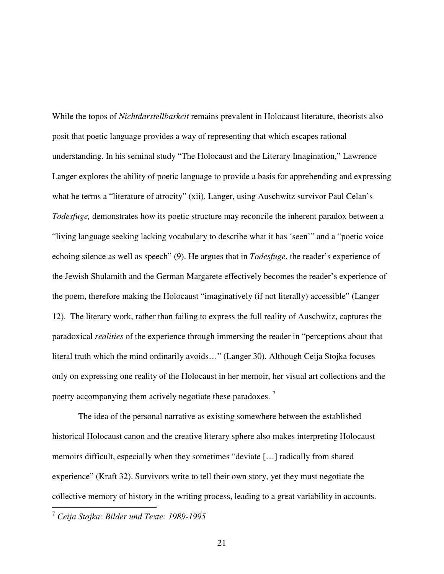While the topos of *Nichtdarstellbarkeit* remains prevalent in Holocaust literature, theorists also posit that poetic language provides a way of representing that which escapes rational understanding. In his seminal study "The Holocaust and the Literary Imagination," Lawrence Langer explores the ability of poetic language to provide a basis for apprehending and expressing what he terms a "literature of atrocity" (xii). Langer, using Auschwitz survivor Paul Celan's *Todesfuge,* demonstrates how its poetic structure may reconcile the inherent paradox between a "living language seeking lacking vocabulary to describe what it has 'seen'" and a "poetic voice echoing silence as well as speech" (9). He argues that in *Todesfuge*, the reader's experience of the Jewish Shulamith and the German Margarete effectively becomes the reader's experience of the poem, therefore making the Holocaust "imaginatively (if not literally) accessible" (Langer 12). The literary work, rather than failing to express the full reality of Auschwitz, captures the paradoxical *realities* of the experience through immersing the reader in "perceptions about that literal truth which the mind ordinarily avoids…" (Langer 30). Although Ceija Stojka focuses only on expressing one reality of the Holocaust in her memoir, her visual art collections and the poetry accompanying them actively negotiate these paradoxes.  $^7$ 

The idea of the personal narrative as existing somewhere between the established historical Holocaust canon and the creative literary sphere also makes interpreting Holocaust memoirs difficult, especially when they sometimes "deviate […] radically from shared experience" (Kraft 32). Survivors write to tell their own story, yet they must negotiate the collective memory of history in the writing process, leading to a great variability in accounts.

<sup>7</sup> *Ceija Stojka: Bilder und Texte: 1989-1995*

 $\overline{a}$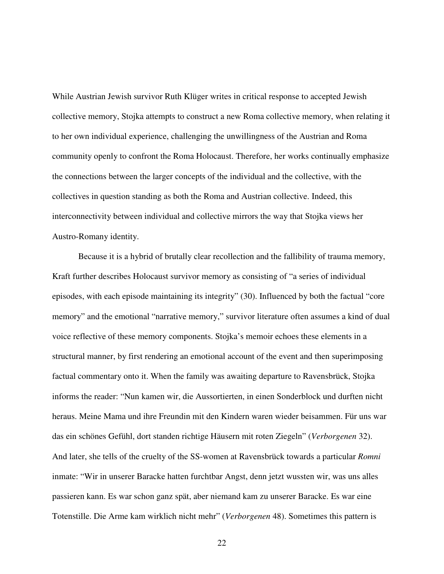While Austrian Jewish survivor Ruth Klüger writes in critical response to accepted Jewish collective memory, Stojka attempts to construct a new Roma collective memory, when relating it to her own individual experience, challenging the unwillingness of the Austrian and Roma community openly to confront the Roma Holocaust. Therefore, her works continually emphasize the connections between the larger concepts of the individual and the collective, with the collectives in question standing as both the Roma and Austrian collective. Indeed, this interconnectivity between individual and collective mirrors the way that Stojka views her Austro-Romany identity.

Because it is a hybrid of brutally clear recollection and the fallibility of trauma memory, Kraft further describes Holocaust survivor memory as consisting of "a series of individual episodes, with each episode maintaining its integrity" (30). Influenced by both the factual "core memory" and the emotional "narrative memory," survivor literature often assumes a kind of dual voice reflective of these memory components. Stojka's memoir echoes these elements in a structural manner, by first rendering an emotional account of the event and then superimposing factual commentary onto it. When the family was awaiting departure to Ravensbrück, Stojka informs the reader: "Nun kamen wir, die Aussortierten, in einen Sonderblock und durften nicht heraus. Meine Mama und ihre Freundin mit den Kindern waren wieder beisammen. Für uns war das ein schönes Gefühl, dort standen richtige Häusern mit roten Ziegeln" (*Verborgenen* 32). And later, she tells of the cruelty of the SS-women at Ravensbrück towards a particular *Romni*  inmate: "Wir in unserer Baracke hatten furchtbar Angst, denn jetzt wussten wir, was uns alles passieren kann. Es war schon ganz spät, aber niemand kam zu unserer Baracke. Es war eine Totenstille. Die Arme kam wirklich nicht mehr" (*Verborgenen* 48). Sometimes this pattern is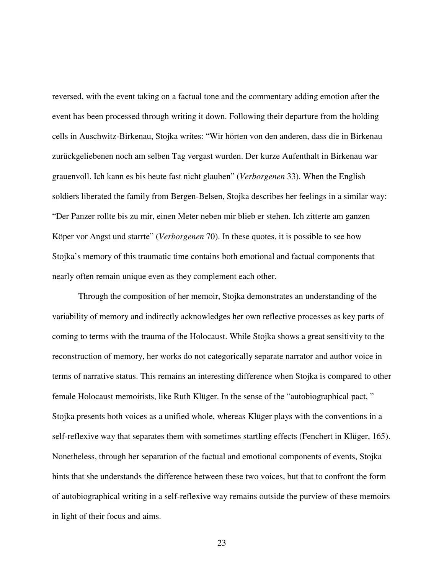reversed, with the event taking on a factual tone and the commentary adding emotion after the event has been processed through writing it down. Following their departure from the holding cells in Auschwitz-Birkenau, Stojka writes: "Wir hörten von den anderen, dass die in Birkenau zurückgeliebenen noch am selben Tag vergast wurden. Der kurze Aufenthalt in Birkenau war grauenvoll. Ich kann es bis heute fast nicht glauben" (*Verborgenen* 33). When the English soldiers liberated the family from Bergen-Belsen, Stojka describes her feelings in a similar way: "Der Panzer rollte bis zu mir, einen Meter neben mir blieb er stehen. Ich zitterte am ganzen Köper vor Angst und starrte" (*Verborgenen* 70). In these quotes, it is possible to see how Stojka's memory of this traumatic time contains both emotional and factual components that nearly often remain unique even as they complement each other.

Through the composition of her memoir, Stojka demonstrates an understanding of the variability of memory and indirectly acknowledges her own reflective processes as key parts of coming to terms with the trauma of the Holocaust. While Stojka shows a great sensitivity to the reconstruction of memory, her works do not categorically separate narrator and author voice in terms of narrative status. This remains an interesting difference when Stojka is compared to other female Holocaust memoirists, like Ruth Klüger. In the sense of the "autobiographical pact, " Stojka presents both voices as a unified whole, whereas Klüger plays with the conventions in a self-reflexive way that separates them with sometimes startling effects (Fenchert in Klüger, 165). Nonetheless, through her separation of the factual and emotional components of events, Stojka hints that she understands the difference between these two voices, but that to confront the form of autobiographical writing in a self-reflexive way remains outside the purview of these memoirs in light of their focus and aims.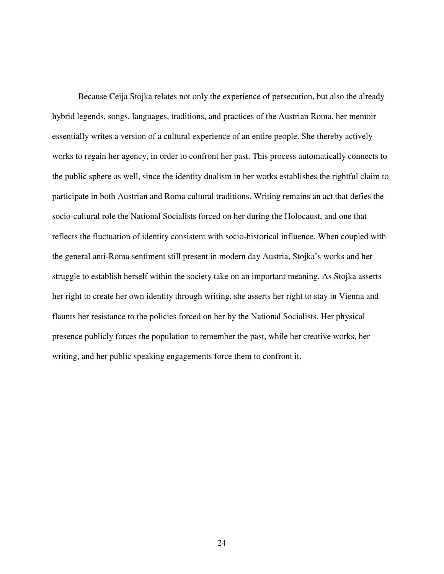Because Ceija Stojka relates not only the experience of persecution, but also the already hybrid legends, songs, languages, traditions, and practices of the Austrian Roma, her memoir essentially writes a version of a cultural experience of an entire people. She thereby actively works to regain her agency, in order to confront her past. This process automatically connects to the public sphere as well, since the identity dualism in her works establishes the rightful claim to participate in both Austrian and Roma cultural traditions. Writing remains an act that defies the socio-cultural role the National Socialists forced on her during the Holocaust, and one that reflects the fluctuation of identity consistent with socio-historical influence. When coupled with the general anti-Roma sentiment still present in modern day Austria, Stojka's works and her struggle to establish herself within the society take on an important meaning. As Stojka asserts her right to create her own identity through writing, she asserts her right to stay in Vienna and flaunts her resistance to the policies forced on her by the National Socialists. Her physical presence publicly forces the population to remember the past, while her creative works, her writing, and her public speaking engagements force them to confront it.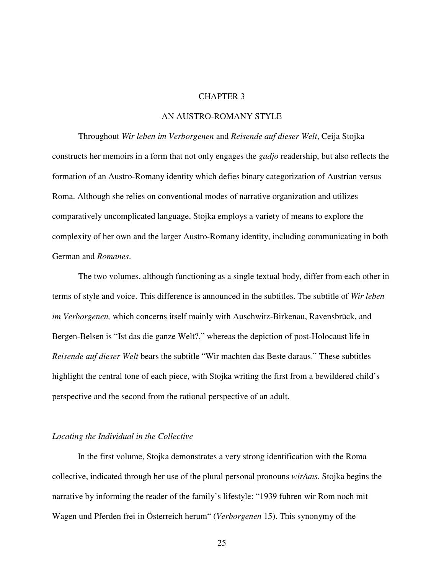#### CHAPTER 3

#### AN AUSTRO-ROMANY STYLE

Throughout *Wir leben im Verborgenen* and *Reisende auf dieser Welt*, Ceija Stojka constructs her memoirs in a form that not only engages the *gadjo* readership, but also reflects the formation of an Austro-Romany identity which defies binary categorization of Austrian versus Roma. Although she relies on conventional modes of narrative organization and utilizes comparatively uncomplicated language, Stojka employs a variety of means to explore the complexity of her own and the larger Austro-Romany identity, including communicating in both German and *Romanes*.

 The two volumes, although functioning as a single textual body, differ from each other in terms of style and voice. This difference is announced in the subtitles. The subtitle of *Wir leben im Verborgenen,* which concerns itself mainly with Auschwitz-Birkenau, Ravensbrück, and Bergen-Belsen is "Ist das die ganze Welt?," whereas the depiction of post-Holocaust life in *Reisende auf dieser Welt* bears the subtitle "Wir machten das Beste daraus." These subtitles highlight the central tone of each piece, with Stojka writing the first from a bewildered child's perspective and the second from the rational perspective of an adult.

#### *Locating the Individual in the Collective*

In the first volume, Stojka demonstrates a very strong identification with the Roma collective, indicated through her use of the plural personal pronouns *wir/uns*. Stojka begins the narrative by informing the reader of the family's lifestyle: "1939 fuhren wir Rom noch mit Wagen und Pferden frei in Österreich herum" (*Verborgenen* 15). This synonymy of the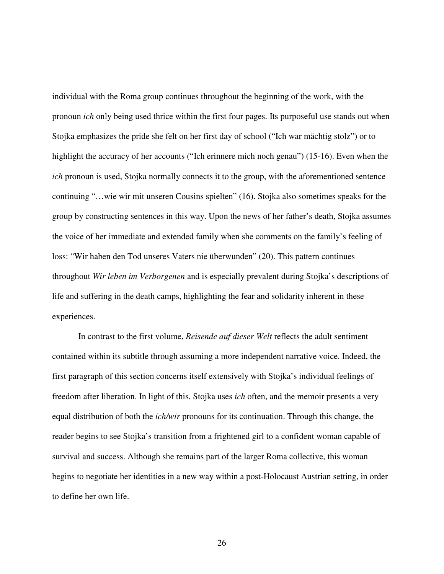individual with the Roma group continues throughout the beginning of the work, with the pronoun *ich* only being used thrice within the first four pages. Its purposeful use stands out when Stojka emphasizes the pride she felt on her first day of school ("Ich war mächtig stolz") or to highlight the accuracy of her accounts ("Ich erinnere mich noch genau") (15-16). Even when the *ich* pronoun is used, Stojka normally connects it to the group, with the aforementioned sentence continuing "…wie wir mit unseren Cousins spielten" (16). Stojka also sometimes speaks for the group by constructing sentences in this way. Upon the news of her father's death, Stojka assumes the voice of her immediate and extended family when she comments on the family's feeling of loss: "Wir haben den Tod unseres Vaters nie überwunden" (20). This pattern continues throughout *Wir leben im Verborgenen* and is especially prevalent during Stojka's descriptions of life and suffering in the death camps, highlighting the fear and solidarity inherent in these experiences.

 In contrast to the first volume, *Reisende auf dieser Welt* reflects the adult sentiment contained within its subtitle through assuming a more independent narrative voice. Indeed, the first paragraph of this section concerns itself extensively with Stojka's individual feelings of freedom after liberation. In light of this, Stojka uses *ich* often, and the memoir presents a very equal distribution of both the *ich/wir* pronouns for its continuation. Through this change, the reader begins to see Stojka's transition from a frightened girl to a confident woman capable of survival and success. Although she remains part of the larger Roma collective, this woman begins to negotiate her identities in a new way within a post-Holocaust Austrian setting, in order to define her own life.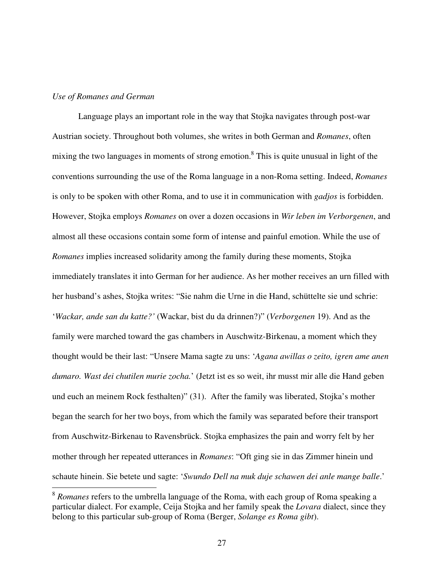#### *Use of Romanes and German*

 $\overline{a}$ 

 Language plays an important role in the way that Stojka navigates through post-war Austrian society. Throughout both volumes, she writes in both German and *Romanes*, often mixing the two languages in moments of strong emotion.<sup>8</sup> This is quite unusual in light of the conventions surrounding the use of the Roma language in a non-Roma setting. Indeed, *Romanes* is only to be spoken with other Roma, and to use it in communication with *gadjos* is forbidden. However, Stojka employs *Romanes* on over a dozen occasions in *Wir leben im Verborgenen*, and almost all these occasions contain some form of intense and painful emotion. While the use of *Romanes* implies increased solidarity among the family during these moments, Stojka immediately translates it into German for her audience. As her mother receives an urn filled with her husband's ashes, Stojka writes: "Sie nahm die Urne in die Hand, schüttelte sie und schrie: '*Wackar, ande san du katte?'* (Wackar, bist du da drinnen?)" (*Verborgenen* 19). And as the family were marched toward the gas chambers in Auschwitz-Birkenau, a moment which they thought would be their last: "Unsere Mama sagte zu uns: '*Agana awillas o zeito, igren ame anen dumaro. Wast dei chutilen murie zocha.*' (Jetzt ist es so weit, ihr musst mir alle die Hand geben und euch an meinem Rock festhalten)" (31). After the family was liberated, Stojka's mother began the search for her two boys, from which the family was separated before their transport from Auschwitz-Birkenau to Ravensbrück. Stojka emphasizes the pain and worry felt by her mother through her repeated utterances in *Romanes*: "Oft ging sie in das Zimmer hinein und schaute hinein. Sie betete und sagte: '*Swundo Dell na muk duje schawen dei anle mange balle*.'

<sup>&</sup>lt;sup>8</sup> Romanes refers to the umbrella language of the Roma, with each group of Roma speaking a particular dialect. For example, Ceija Stojka and her family speak the *Lovara* dialect, since they belong to this particular sub-group of Roma (Berger, *Solange es Roma gibt*).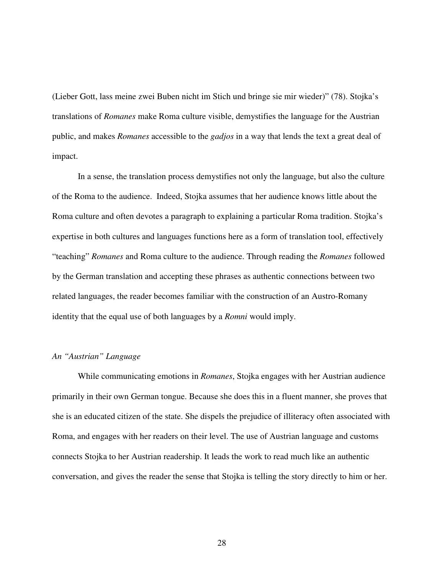(Lieber Gott, lass meine zwei Buben nicht im Stich und bringe sie mir wieder)" (78). Stojka's translations of *Romanes* make Roma culture visible, demystifies the language for the Austrian public, and makes *Romanes* accessible to the *gadjos* in a way that lends the text a great deal of impact.

In a sense, the translation process demystifies not only the language, but also the culture of the Roma to the audience. Indeed, Stojka assumes that her audience knows little about the Roma culture and often devotes a paragraph to explaining a particular Roma tradition. Stojka's expertise in both cultures and languages functions here as a form of translation tool, effectively "teaching" *Romanes* and Roma culture to the audience. Through reading the *Romanes* followed by the German translation and accepting these phrases as authentic connections between two related languages, the reader becomes familiar with the construction of an Austro-Romany identity that the equal use of both languages by a *Romni* would imply.

#### *An "Austrian" Language*

While communicating emotions in *Romanes*, Stojka engages with her Austrian audience primarily in their own German tongue. Because she does this in a fluent manner, she proves that she is an educated citizen of the state. She dispels the prejudice of illiteracy often associated with Roma, and engages with her readers on their level. The use of Austrian language and customs connects Stojka to her Austrian readership. It leads the work to read much like an authentic conversation, and gives the reader the sense that Stojka is telling the story directly to him or her.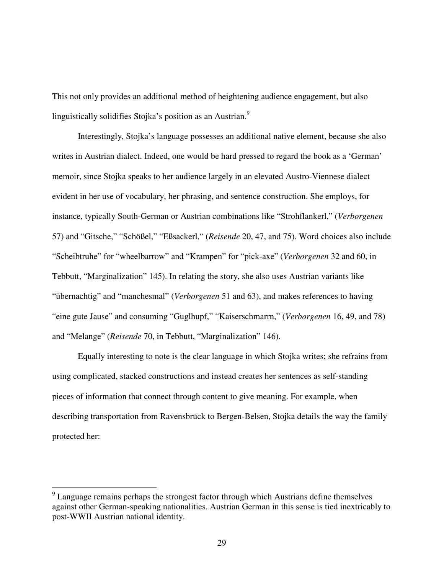This not only provides an additional method of heightening audience engagement, but also linguistically solidifies Stojka's position as an Austrian.<sup>9</sup>

Interestingly, Stojka's language possesses an additional native element, because she also writes in Austrian dialect. Indeed, one would be hard pressed to regard the book as a 'German' memoir, since Stojka speaks to her audience largely in an elevated Austro-Viennese dialect evident in her use of vocabulary, her phrasing, and sentence construction. She employs, for instance, typically South-German or Austrian combinations like "Strohflankerl," (*Verborgenen* 57) and "Gitsche," "Schößel," "Eßsackerl," (*Reisende* 20, 47, and 75). Word choices also include "Scheibtruhe" for "wheelbarrow" and "Krampen" for "pick-axe" (*Verborgenen* 32 and 60, in Tebbutt, "Marginalization" 145). In relating the story, she also uses Austrian variants like "übernachtig" and "manchesmal" (*Verborgenen* 51 and 63), and makes references to having "eine gute Jause" and consuming "Guglhupf," "Kaiserschmarrn," (*Verborgenen* 16, 49, and 78) and "Melange" (*Reisende* 70, in Tebbutt, "Marginalization" 146).

Equally interesting to note is the clear language in which Stojka writes; she refrains from using complicated, stacked constructions and instead creates her sentences as self-standing pieces of information that connect through content to give meaning. For example, when describing transportation from Ravensbrück to Bergen-Belsen, Stojka details the way the family protected her:

 $\overline{a}$ 

<sup>&</sup>lt;sup>9</sup> Language remains perhaps the strongest factor through which Austrians define themselves against other German-speaking nationalities. Austrian German in this sense is tied inextricably to post-WWII Austrian national identity.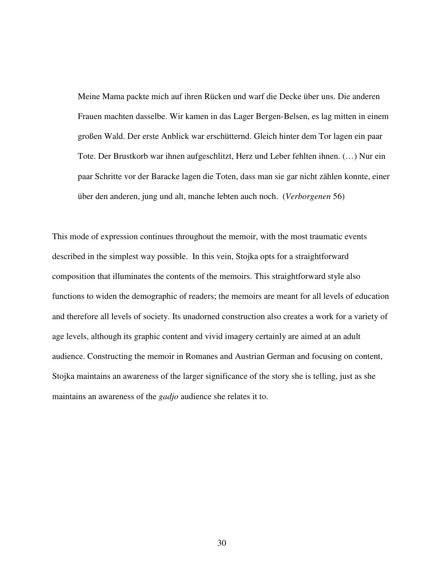Meine Mama packte mich auf ihren Rücken und warf die Decke über uns. Die anderen Frauen machten dasselbe. Wir kamen in das Lager Bergen-Belsen, es lag mitten in einem großen Wald. Der erste Anblick war erschütternd. Gleich hinter dem Tor lagen ein paar Tote. Der Brustkorb war ihnen aufgeschlitzt, Herz und Leber fehlten ihnen. (…) Nur ein paar Schritte vor der Baracke lagen die Toten, dass man sie gar nicht zählen konnte, einer über den anderen, jung und alt, manche lebten auch noch. (*Verborgenen* 56)

This mode of expression continues throughout the memoir, with the most traumatic events described in the simplest way possible. In this vein, Stojka opts for a straightforward composition that illuminates the contents of the memoirs. This straightforward style also functions to widen the demographic of readers; the memoirs are meant for all levels of education and therefore all levels of society. Its unadorned construction also creates a work for a variety of age levels, although its graphic content and vivid imagery certainly are aimed at an adult audience. Constructing the memoir in Romanes and Austrian German and focusing on content, Stojka maintains an awareness of the larger significance of the story she is telling, just as she maintains an awareness of the *gadjo* audience she relates it to.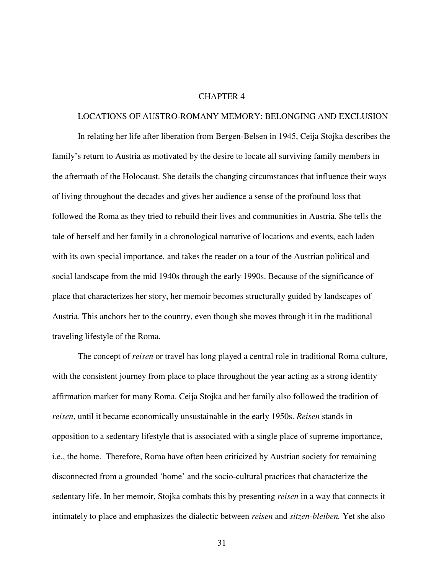#### CHAPTER 4

## LOCATIONS OF AUSTRO-ROMANY MEMORY: BELONGING AND EXCLUSION

In relating her life after liberation from Bergen-Belsen in 1945, Ceija Stojka describes the family's return to Austria as motivated by the desire to locate all surviving family members in the aftermath of the Holocaust. She details the changing circumstances that influence their ways of living throughout the decades and gives her audience a sense of the profound loss that followed the Roma as they tried to rebuild their lives and communities in Austria. She tells the tale of herself and her family in a chronological narrative of locations and events, each laden with its own special importance, and takes the reader on a tour of the Austrian political and social landscape from the mid 1940s through the early 1990s. Because of the significance of place that characterizes her story, her memoir becomes structurally guided by landscapes of Austria. This anchors her to the country, even though she moves through it in the traditional traveling lifestyle of the Roma.

The concept of *reisen* or travel has long played a central role in traditional Roma culture, with the consistent journey from place to place throughout the year acting as a strong identity affirmation marker for many Roma. Ceija Stojka and her family also followed the tradition of *reisen*, until it became economically unsustainable in the early 1950s. *Reisen* stands in opposition to a sedentary lifestyle that is associated with a single place of supreme importance, i.e., the home. Therefore, Roma have often been criticized by Austrian society for remaining disconnected from a grounded 'home' and the socio-cultural practices that characterize the sedentary life. In her memoir, Stojka combats this by presenting *reisen* in a way that connects it intimately to place and emphasizes the dialectic between *reisen* and *sitzen-bleiben.* Yet she also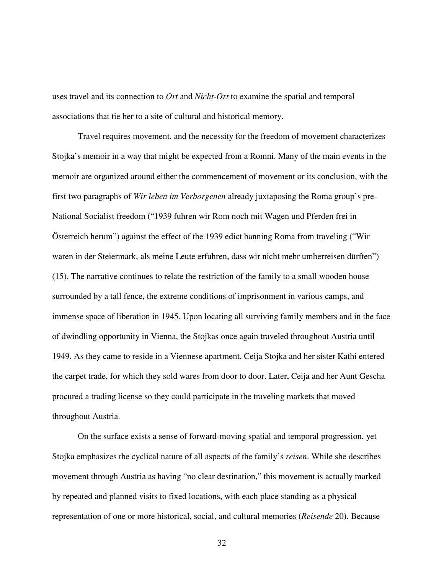uses travel and its connection to *Ort* and *Nicht-Ort* to examine the spatial and temporal associations that tie her to a site of cultural and historical memory.

Travel requires movement, and the necessity for the freedom of movement characterizes Stojka's memoir in a way that might be expected from a Romni. Many of the main events in the memoir are organized around either the commencement of movement or its conclusion, with the first two paragraphs of *Wir leben im Verborgenen* already juxtaposing the Roma group's pre-National Socialist freedom ("1939 fuhren wir Rom noch mit Wagen und Pferden frei in Österreich herum") against the effect of the 1939 edict banning Roma from traveling ("Wir waren in der Steiermark, als meine Leute erfuhren, dass wir nicht mehr umherreisen dürften") (15). The narrative continues to relate the restriction of the family to a small wooden house surrounded by a tall fence, the extreme conditions of imprisonment in various camps, and immense space of liberation in 1945. Upon locating all surviving family members and in the face of dwindling opportunity in Vienna, the Stojkas once again traveled throughout Austria until 1949. As they came to reside in a Viennese apartment, Ceija Stojka and her sister Kathi entered the carpet trade, for which they sold wares from door to door. Later, Ceija and her Aunt Gescha procured a trading license so they could participate in the traveling markets that moved throughout Austria.

On the surface exists a sense of forward-moving spatial and temporal progression, yet Stojka emphasizes the cyclical nature of all aspects of the family's *reisen*. While she describes movement through Austria as having "no clear destination," this movement is actually marked by repeated and planned visits to fixed locations, with each place standing as a physical representation of one or more historical, social, and cultural memories (*Reisende* 20). Because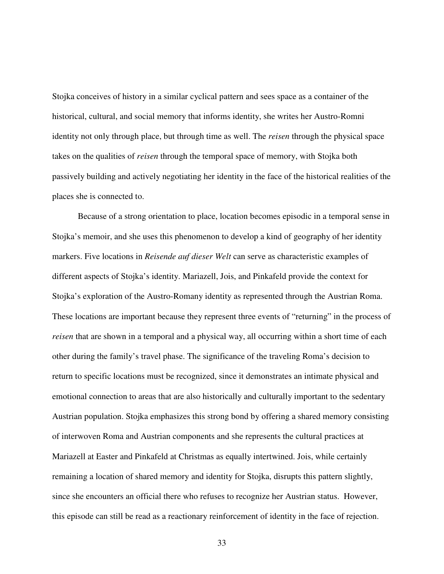Stojka conceives of history in a similar cyclical pattern and sees space as a container of the historical, cultural, and social memory that informs identity, she writes her Austro-Romni identity not only through place, but through time as well. The *reisen* through the physical space takes on the qualities of *reisen* through the temporal space of memory, with Stojka both passively building and actively negotiating her identity in the face of the historical realities of the places she is connected to.

Because of a strong orientation to place, location becomes episodic in a temporal sense in Stojka's memoir, and she uses this phenomenon to develop a kind of geography of her identity markers. Five locations in *Reisende auf dieser Welt* can serve as characteristic examples of different aspects of Stojka's identity. Mariazell, Jois, and Pinkafeld provide the context for Stojka's exploration of the Austro-Romany identity as represented through the Austrian Roma. These locations are important because they represent three events of "returning" in the process of *reisen* that are shown in a temporal and a physical way, all occurring within a short time of each other during the family's travel phase. The significance of the traveling Roma's decision to return to specific locations must be recognized, since it demonstrates an intimate physical and emotional connection to areas that are also historically and culturally important to the sedentary Austrian population. Stojka emphasizes this strong bond by offering a shared memory consisting of interwoven Roma and Austrian components and she represents the cultural practices at Mariazell at Easter and Pinkafeld at Christmas as equally intertwined. Jois, while certainly remaining a location of shared memory and identity for Stojka, disrupts this pattern slightly, since she encounters an official there who refuses to recognize her Austrian status. However, this episode can still be read as a reactionary reinforcement of identity in the face of rejection.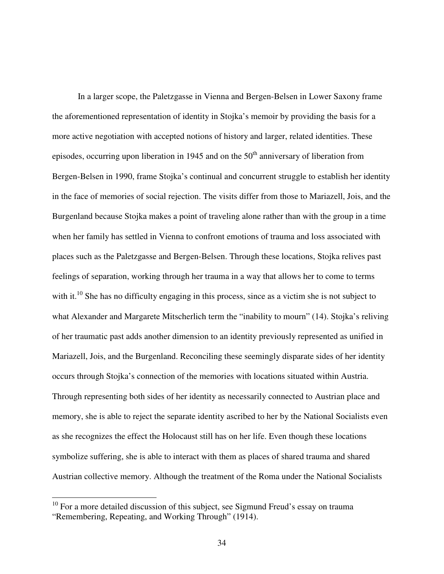In a larger scope, the Paletzgasse in Vienna and Bergen-Belsen in Lower Saxony frame the aforementioned representation of identity in Stojka's memoir by providing the basis for a more active negotiation with accepted notions of history and larger, related identities. These episodes, occurring upon liberation in 1945 and on the  $50<sup>th</sup>$  anniversary of liberation from Bergen-Belsen in 1990, frame Stojka's continual and concurrent struggle to establish her identity in the face of memories of social rejection. The visits differ from those to Mariazell, Jois, and the Burgenland because Stojka makes a point of traveling alone rather than with the group in a time when her family has settled in Vienna to confront emotions of trauma and loss associated with places such as the Paletzgasse and Bergen-Belsen. Through these locations, Stojka relives past feelings of separation, working through her trauma in a way that allows her to come to terms with it.<sup>10</sup> She has no difficulty engaging in this process, since as a victim she is not subject to what Alexander and Margarete Mitscherlich term the "inability to mourn" (14). Stojka's reliving of her traumatic past adds another dimension to an identity previously represented as unified in Mariazell, Jois, and the Burgenland. Reconciling these seemingly disparate sides of her identity occurs through Stojka's connection of the memories with locations situated within Austria. Through representing both sides of her identity as necessarily connected to Austrian place and memory, she is able to reject the separate identity ascribed to her by the National Socialists even as she recognizes the effect the Holocaust still has on her life. Even though these locations symbolize suffering, she is able to interact with them as places of shared trauma and shared Austrian collective memory. Although the treatment of the Roma under the National Socialists

 $\overline{a}$ 

 $10$  For a more detailed discussion of this subject, see Sigmund Freud's essay on trauma "Remembering, Repeating, and Working Through" (1914).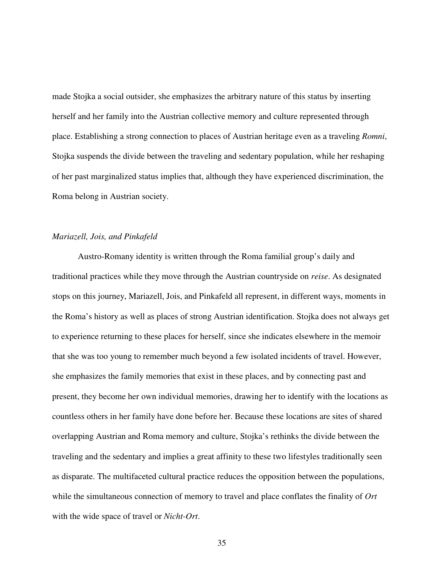made Stojka a social outsider, she emphasizes the arbitrary nature of this status by inserting herself and her family into the Austrian collective memory and culture represented through place. Establishing a strong connection to places of Austrian heritage even as a traveling *Romni*, Stojka suspends the divide between the traveling and sedentary population, while her reshaping of her past marginalized status implies that, although they have experienced discrimination, the Roma belong in Austrian society.

### *Mariazell, Jois, and Pinkafeld*

Austro-Romany identity is written through the Roma familial group's daily and traditional practices while they move through the Austrian countryside on *reise*. As designated stops on this journey, Mariazell, Jois, and Pinkafeld all represent, in different ways, moments in the Roma's history as well as places of strong Austrian identification. Stojka does not always get to experience returning to these places for herself, since she indicates elsewhere in the memoir that she was too young to remember much beyond a few isolated incidents of travel. However, she emphasizes the family memories that exist in these places, and by connecting past and present, they become her own individual memories, drawing her to identify with the locations as countless others in her family have done before her. Because these locations are sites of shared overlapping Austrian and Roma memory and culture, Stojka's rethinks the divide between the traveling and the sedentary and implies a great affinity to these two lifestyles traditionally seen as disparate. The multifaceted cultural practice reduces the opposition between the populations, while the simultaneous connection of memory to travel and place conflates the finality of *Ort*  with the wide space of travel or *Nicht-Ort*.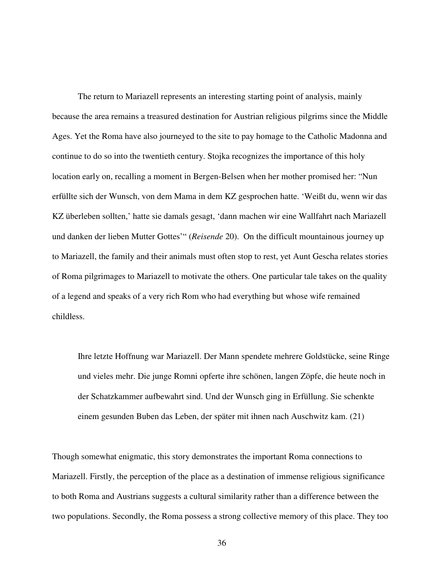The return to Mariazell represents an interesting starting point of analysis, mainly because the area remains a treasured destination for Austrian religious pilgrims since the Middle Ages. Yet the Roma have also journeyed to the site to pay homage to the Catholic Madonna and continue to do so into the twentieth century. Stojka recognizes the importance of this holy location early on, recalling a moment in Bergen-Belsen when her mother promised her: "Nun erfüllte sich der Wunsch, von dem Mama in dem KZ gesprochen hatte. 'Weißt du, wenn wir das KZ überleben sollten,' hatte sie damals gesagt, 'dann machen wir eine Wallfahrt nach Mariazell und danken der lieben Mutter Gottes'" (*Reisende* 20). On the difficult mountainous journey up to Mariazell, the family and their animals must often stop to rest, yet Aunt Gescha relates stories of Roma pilgrimages to Mariazell to motivate the others. One particular tale takes on the quality of a legend and speaks of a very rich Rom who had everything but whose wife remained childless.

Ihre letzte Hoffnung war Mariazell. Der Mann spendete mehrere Goldstücke, seine Ringe und vieles mehr. Die junge Romni opferte ihre schönen, langen Zöpfe, die heute noch in der Schatzkammer aufbewahrt sind. Und der Wunsch ging in Erfüllung. Sie schenkte einem gesunden Buben das Leben, der später mit ihnen nach Auschwitz kam. (21)

Though somewhat enigmatic, this story demonstrates the important Roma connections to Mariazell. Firstly, the perception of the place as a destination of immense religious significance to both Roma and Austrians suggests a cultural similarity rather than a difference between the two populations. Secondly, the Roma possess a strong collective memory of this place. They too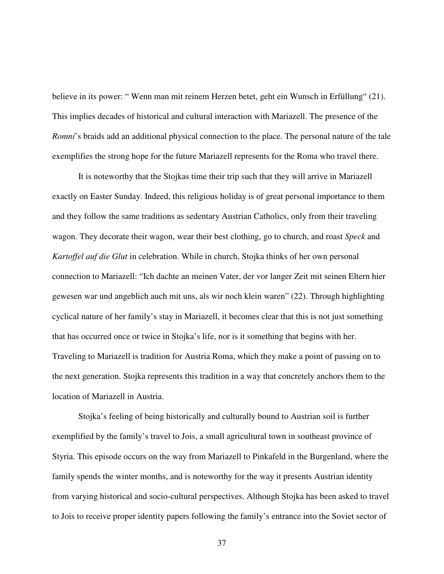believe in its power: " Wenn man mit reinem Herzen betet, geht ein Wunsch in Erfüllung" (21). This implies decades of historical and cultural interaction with Mariazell. The presence of the *Romni*'s braids add an additional physical connection to the place. The personal nature of the tale exemplifies the strong hope for the future Mariazell represents for the Roma who travel there.

It is noteworthy that the Stojkas time their trip such that they will arrive in Mariazell exactly on Easter Sunday. Indeed, this religious holiday is of great personal importance to them and they follow the same traditions as sedentary Austrian Catholics, only from their traveling wagon. They decorate their wagon, wear their best clothing, go to church, and roast *Speck* and *Kartoffel auf die Glut* in celebration. While in church, Stojka thinks of her own personal connection to Mariazell: "Ich dachte an meinen Vater, der vor langer Zeit mit seinen Eltern hier gewesen war und angeblich auch mit uns, als wir noch klein waren" (22). Through highlighting cyclical nature of her family's stay in Mariazell, it becomes clear that this is not just something that has occurred once or twice in Stojka's life, nor is it something that begins with her. Traveling to Mariazell is tradition for Austria Roma, which they make a point of passing on to the next generation. Stojka represents this tradition in a way that concretely anchors them to the location of Mariazell in Austria.

 Stojka's feeling of being historically and culturally bound to Austrian soil is further exemplified by the family's travel to Jois, a small agricultural town in southeast province of Styria. This episode occurs on the way from Mariazell to Pinkafeld in the Burgenland, where the family spends the winter months, and is noteworthy for the way it presents Austrian identity from varying historical and socio-cultural perspectives. Although Stojka has been asked to travel to Jois to receive proper identity papers following the family's entrance into the Soviet sector of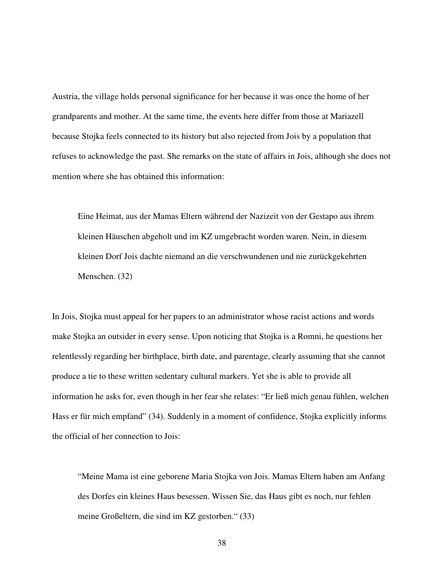Austria, the village holds personal significance for her because it was once the home of her grandparents and mother. At the same time, the events here differ from those at Mariazell because Stojka feels connected to its history but also rejected from Jois by a population that refuses to acknowledge the past. She remarks on the state of affairs in Jois, although she does not mention where she has obtained this information:

Eine Heimat, aus der Mamas Eltern während der Nazizeit von der Gestapo aus ihrem kleinen Häuschen abgeholt und im KZ umgebracht worden waren. Nein, in diesem kleinen Dorf Jois dachte niemand an die verschwundenen und nie zurückgekehrten Menschen. (32)

In Jois, Stojka must appeal for her papers to an administrator whose racist actions and words make Stojka an outsider in every sense. Upon noticing that Stojka is a Romni, he questions her relentlessly regarding her birthplace, birth date, and parentage, clearly assuming that she cannot produce a tie to these written sedentary cultural markers. Yet she is able to provide all information he asks for, even though in her fear she relates: "Er ließ mich genau fühlen, welchen Hass er für mich empfand" (34). Suddenly in a moment of confidence, Stojka explicitly informs the official of her connection to Jois:

"Meine Mama ist eine geborene Maria Stojka von Jois. Mamas Eltern haben am Anfang des Dorfes ein kleines Haus besessen. Wissen Sie, das Haus gibt es noch, nur fehlen meine Großeltern, die sind im KZ gestorben." (33)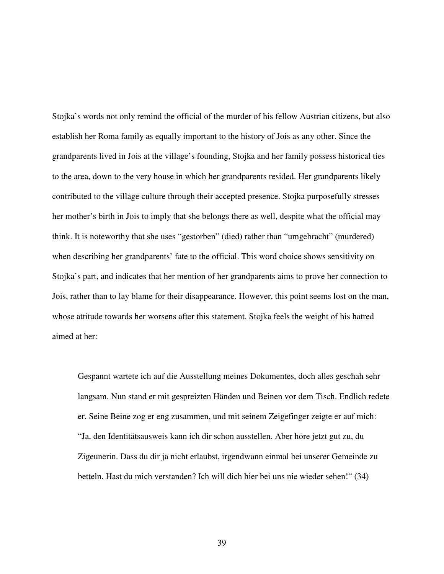Stojka's words not only remind the official of the murder of his fellow Austrian citizens, but also establish her Roma family as equally important to the history of Jois as any other. Since the grandparents lived in Jois at the village's founding, Stojka and her family possess historical ties to the area, down to the very house in which her grandparents resided. Her grandparents likely contributed to the village culture through their accepted presence. Stojka purposefully stresses her mother's birth in Jois to imply that she belongs there as well, despite what the official may think. It is noteworthy that she uses "gestorben" (died) rather than "umgebracht" (murdered) when describing her grandparents' fate to the official. This word choice shows sensitivity on Stojka's part, and indicates that her mention of her grandparents aims to prove her connection to Jois, rather than to lay blame for their disappearance. However, this point seems lost on the man, whose attitude towards her worsens after this statement. Stojka feels the weight of his hatred aimed at her:

Gespannt wartete ich auf die Ausstellung meines Dokumentes, doch alles geschah sehr langsam. Nun stand er mit gespreizten Händen und Beinen vor dem Tisch. Endlich redete er. Seine Beine zog er eng zusammen, und mit seinem Zeigefinger zeigte er auf mich: "Ja, den Identitätsausweis kann ich dir schon ausstellen. Aber höre jetzt gut zu, du Zigeunerin. Dass du dir ja nicht erlaubst, irgendwann einmal bei unserer Gemeinde zu betteln. Hast du mich verstanden? Ich will dich hier bei uns nie wieder sehen!" (34)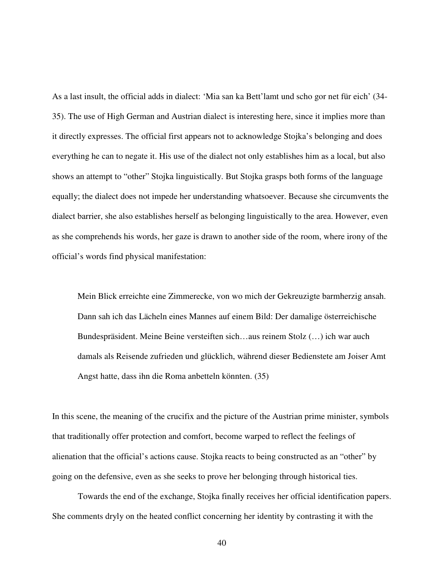As a last insult, the official adds in dialect: 'Mia san ka Bett'lamt und scho gor net für eich' (34- 35). The use of High German and Austrian dialect is interesting here, since it implies more than it directly expresses. The official first appears not to acknowledge Stojka's belonging and does everything he can to negate it. His use of the dialect not only establishes him as a local, but also shows an attempt to "other" Stojka linguistically. But Stojka grasps both forms of the language equally; the dialect does not impede her understanding whatsoever. Because she circumvents the dialect barrier, she also establishes herself as belonging linguistically to the area. However, even as she comprehends his words, her gaze is drawn to another side of the room, where irony of the official's words find physical manifestation:

Mein Blick erreichte eine Zimmerecke, von wo mich der Gekreuzigte barmherzig ansah. Dann sah ich das Lächeln eines Mannes auf einem Bild: Der damalige österreichische Bundespräsident. Meine Beine versteiften sich…aus reinem Stolz (…) ich war auch damals als Reisende zufrieden und glücklich, während dieser Bedienstete am Joiser Amt Angst hatte, dass ihn die Roma anbetteln könnten. (35)

In this scene, the meaning of the crucifix and the picture of the Austrian prime minister, symbols that traditionally offer protection and comfort, become warped to reflect the feelings of alienation that the official's actions cause. Stojka reacts to being constructed as an "other" by going on the defensive, even as she seeks to prove her belonging through historical ties.

Towards the end of the exchange, Stojka finally receives her official identification papers. She comments dryly on the heated conflict concerning her identity by contrasting it with the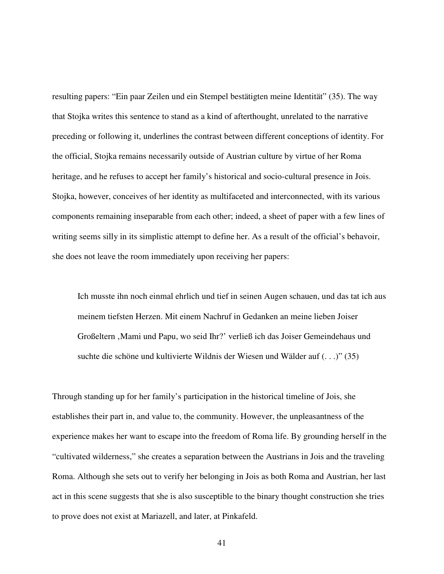resulting papers: "Ein paar Zeilen und ein Stempel bestätigten meine Identität" (35). The way that Stojka writes this sentence to stand as a kind of afterthought, unrelated to the narrative preceding or following it, underlines the contrast between different conceptions of identity. For the official, Stojka remains necessarily outside of Austrian culture by virtue of her Roma heritage, and he refuses to accept her family's historical and socio-cultural presence in Jois. Stojka, however, conceives of her identity as multifaceted and interconnected, with its various components remaining inseparable from each other; indeed, a sheet of paper with a few lines of writing seems silly in its simplistic attempt to define her. As a result of the official's behavoir, she does not leave the room immediately upon receiving her papers:

Ich musste ihn noch einmal ehrlich und tief in seinen Augen schauen, und das tat ich aus meinem tiefsten Herzen. Mit einem Nachruf in Gedanken an meine lieben Joiser Großeltern , Mami und Papu, wo seid Ihr?' verließ ich das Joiser Gemeindehaus und suchte die schöne und kultivierte Wildnis der Wiesen und Wälder auf (. . .)" (35)

Through standing up for her family's participation in the historical timeline of Jois, she establishes their part in, and value to, the community. However, the unpleasantness of the experience makes her want to escape into the freedom of Roma life. By grounding herself in the "cultivated wilderness," she creates a separation between the Austrians in Jois and the traveling Roma. Although she sets out to verify her belonging in Jois as both Roma and Austrian, her last act in this scene suggests that she is also susceptible to the binary thought construction she tries to prove does not exist at Mariazell, and later, at Pinkafeld.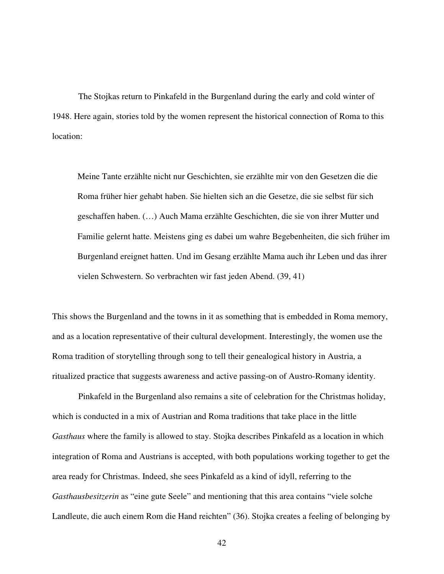The Stojkas return to Pinkafeld in the Burgenland during the early and cold winter of 1948. Here again, stories told by the women represent the historical connection of Roma to this location:

Meine Tante erzählte nicht nur Geschichten, sie erzählte mir von den Gesetzen die die Roma früher hier gehabt haben. Sie hielten sich an die Gesetze, die sie selbst für sich geschaffen haben. (…) Auch Mama erzählte Geschichten, die sie von ihrer Mutter und Familie gelernt hatte. Meistens ging es dabei um wahre Begebenheiten, die sich früher im Burgenland ereignet hatten. Und im Gesang erzählte Mama auch ihr Leben und das ihrer vielen Schwestern. So verbrachten wir fast jeden Abend. (39, 41)

This shows the Burgenland and the towns in it as something that is embedded in Roma memory, and as a location representative of their cultural development. Interestingly, the women use the Roma tradition of storytelling through song to tell their genealogical history in Austria, a ritualized practice that suggests awareness and active passing-on of Austro-Romany identity.

 Pinkafeld in the Burgenland also remains a site of celebration for the Christmas holiday, which is conducted in a mix of Austrian and Roma traditions that take place in the little *Gasthaus* where the family is allowed to stay. Stojka describes Pinkafeld as a location in which integration of Roma and Austrians is accepted, with both populations working together to get the area ready for Christmas. Indeed, she sees Pinkafeld as a kind of idyll, referring to the *Gasthausbesitzerin* as "eine gute Seele" and mentioning that this area contains "viele solche Landleute, die auch einem Rom die Hand reichten" (36). Stojka creates a feeling of belonging by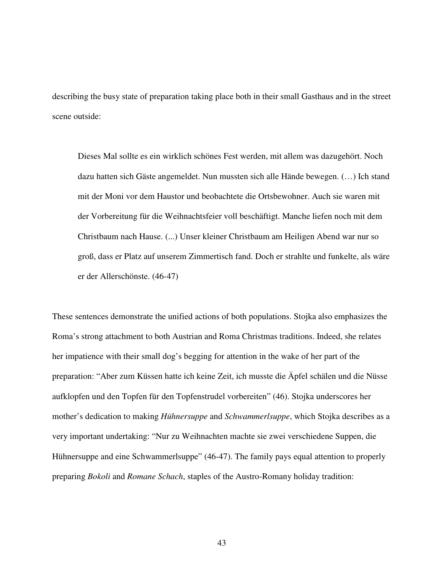describing the busy state of preparation taking place both in their small Gasthaus and in the street scene outside:

Dieses Mal sollte es ein wirklich schönes Fest werden, mit allem was dazugehört. Noch dazu hatten sich Gäste angemeldet. Nun mussten sich alle Hände bewegen. (…) Ich stand mit der Moni vor dem Haustor und beobachtete die Ortsbewohner. Auch sie waren mit der Vorbereitung für die Weihnachtsfeier voll beschäftigt. Manche liefen noch mit dem Christbaum nach Hause. (...) Unser kleiner Christbaum am Heiligen Abend war nur so groß, dass er Platz auf unserem Zimmertisch fand. Doch er strahlte und funkelte, als wäre er der Allerschönste. (46-47)

These sentences demonstrate the unified actions of both populations. Stojka also emphasizes the Roma's strong attachment to both Austrian and Roma Christmas traditions. Indeed, she relates her impatience with their small dog's begging for attention in the wake of her part of the preparation: "Aber zum Küssen hatte ich keine Zeit, ich musste die Äpfel schälen und die Nüsse aufklopfen und den Topfen für den Topfenstrudel vorbereiten" (46). Stojka underscores her mother's dedication to making *Hühnersuppe* and *Schwammerlsuppe*, which Stojka describes as a very important undertaking: "Nur zu Weihnachten machte sie zwei verschiedene Suppen, die Hühnersuppe and eine Schwammerlsuppe" (46-47). The family pays equal attention to properly preparing *Bokoli* and *Romane Schach*, staples of the Austro-Romany holiday tradition: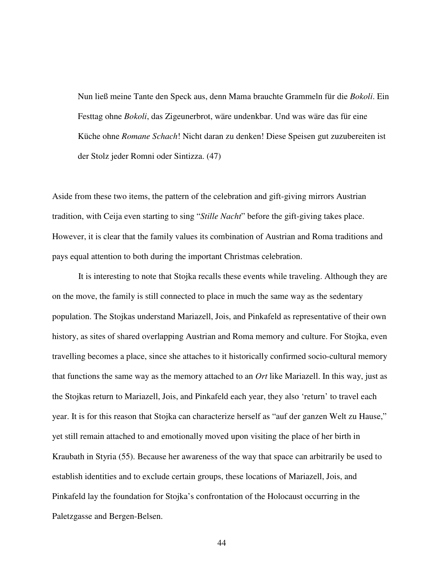Nun ließ meine Tante den Speck aus, denn Mama brauchte Grammeln für die *Bokoli*. Ein Festtag ohne *Bokoli*, das Zigeunerbrot, wäre undenkbar. Und was wäre das für eine Küche ohne *Romane Schach*! Nicht daran zu denken! Diese Speisen gut zuzubereiten ist der Stolz jeder Romni oder Sintizza. (47)

Aside from these two items, the pattern of the celebration and gift-giving mirrors Austrian tradition, with Ceija even starting to sing "*Stille Nacht*" before the gift-giving takes place. However, it is clear that the family values its combination of Austrian and Roma traditions and pays equal attention to both during the important Christmas celebration.

 It is interesting to note that Stojka recalls these events while traveling. Although they are on the move, the family is still connected to place in much the same way as the sedentary population. The Stojkas understand Mariazell, Jois, and Pinkafeld as representative of their own history, as sites of shared overlapping Austrian and Roma memory and culture. For Stojka, even travelling becomes a place, since she attaches to it historically confirmed socio-cultural memory that functions the same way as the memory attached to an *Ort* like Mariazell. In this way, just as the Stojkas return to Mariazell, Jois, and Pinkafeld each year, they also 'return' to travel each year. It is for this reason that Stojka can characterize herself as "auf der ganzen Welt zu Hause," yet still remain attached to and emotionally moved upon visiting the place of her birth in Kraubath in Styria (55). Because her awareness of the way that space can arbitrarily be used to establish identities and to exclude certain groups, these locations of Mariazell, Jois, and Pinkafeld lay the foundation for Stojka's confrontation of the Holocaust occurring in the Paletzgasse and Bergen-Belsen.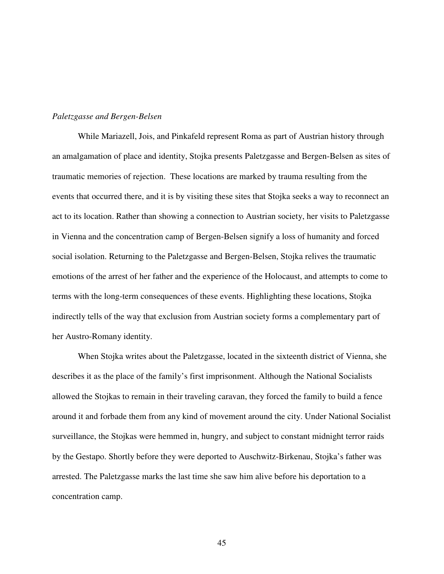#### *Paletzgasse and Bergen-Belsen*

While Mariazell, Jois, and Pinkafeld represent Roma as part of Austrian history through an amalgamation of place and identity, Stojka presents Paletzgasse and Bergen-Belsen as sites of traumatic memories of rejection. These locations are marked by trauma resulting from the events that occurred there, and it is by visiting these sites that Stojka seeks a way to reconnect an act to its location. Rather than showing a connection to Austrian society, her visits to Paletzgasse in Vienna and the concentration camp of Bergen-Belsen signify a loss of humanity and forced social isolation. Returning to the Paletzgasse and Bergen-Belsen, Stojka relives the traumatic emotions of the arrest of her father and the experience of the Holocaust, and attempts to come to terms with the long-term consequences of these events. Highlighting these locations, Stojka indirectly tells of the way that exclusion from Austrian society forms a complementary part of her Austro-Romany identity.

When Stojka writes about the Paletzgasse, located in the sixteenth district of Vienna, she describes it as the place of the family's first imprisonment. Although the National Socialists allowed the Stojkas to remain in their traveling caravan, they forced the family to build a fence around it and forbade them from any kind of movement around the city. Under National Socialist surveillance, the Stojkas were hemmed in, hungry, and subject to constant midnight terror raids by the Gestapo. Shortly before they were deported to Auschwitz-Birkenau, Stojka's father was arrested. The Paletzgasse marks the last time she saw him alive before his deportation to a concentration camp.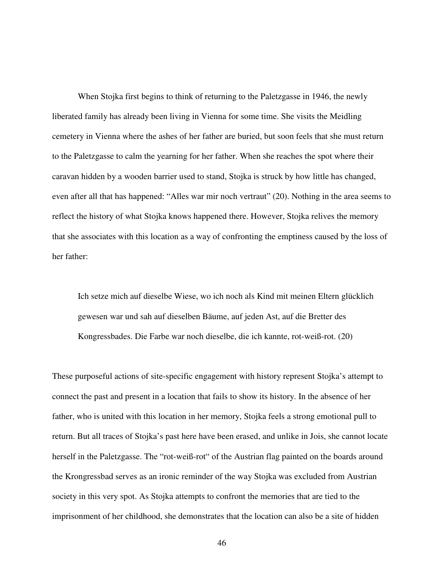When Stojka first begins to think of returning to the Paletzgasse in 1946, the newly liberated family has already been living in Vienna for some time. She visits the Meidling cemetery in Vienna where the ashes of her father are buried, but soon feels that she must return to the Paletzgasse to calm the yearning for her father. When she reaches the spot where their caravan hidden by a wooden barrier used to stand, Stojka is struck by how little has changed, even after all that has happened: "Alles war mir noch vertraut" (20). Nothing in the area seems to reflect the history of what Stojka knows happened there. However, Stojka relives the memory that she associates with this location as a way of confronting the emptiness caused by the loss of her father:

Ich setze mich auf dieselbe Wiese, wo ich noch als Kind mit meinen Eltern glücklich gewesen war und sah auf dieselben Bäume, auf jeden Ast, auf die Bretter des Kongressbades. Die Farbe war noch dieselbe, die ich kannte, rot-weiß-rot. (20)

These purposeful actions of site-specific engagement with history represent Stojka's attempt to connect the past and present in a location that fails to show its history. In the absence of her father, who is united with this location in her memory, Stojka feels a strong emotional pull to return. But all traces of Stojka's past here have been erased, and unlike in Jois, she cannot locate herself in the Paletzgasse. The "rot-weiß-rot" of the Austrian flag painted on the boards around the Krongressbad serves as an ironic reminder of the way Stojka was excluded from Austrian society in this very spot. As Stojka attempts to confront the memories that are tied to the imprisonment of her childhood, she demonstrates that the location can also be a site of hidden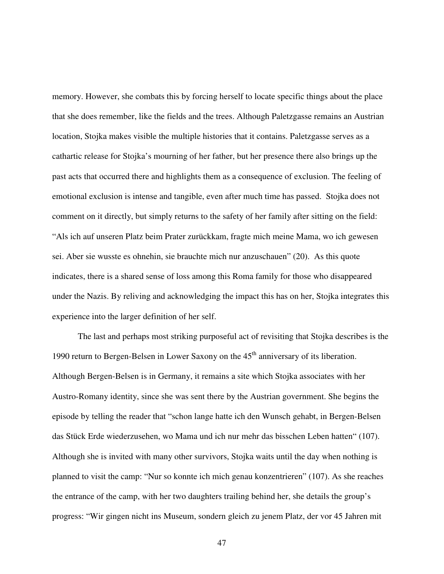memory. However, she combats this by forcing herself to locate specific things about the place that she does remember, like the fields and the trees. Although Paletzgasse remains an Austrian location, Stojka makes visible the multiple histories that it contains. Paletzgasse serves as a cathartic release for Stojka's mourning of her father, but her presence there also brings up the past acts that occurred there and highlights them as a consequence of exclusion. The feeling of emotional exclusion is intense and tangible, even after much time has passed. Stojka does not comment on it directly, but simply returns to the safety of her family after sitting on the field: "Als ich auf unseren Platz beim Prater zurückkam, fragte mich meine Mama, wo ich gewesen sei. Aber sie wusste es ohnehin, sie brauchte mich nur anzuschauen" (20). As this quote indicates, there is a shared sense of loss among this Roma family for those who disappeared under the Nazis. By reliving and acknowledging the impact this has on her, Stojka integrates this experience into the larger definition of her self.

The last and perhaps most striking purposeful act of revisiting that Stojka describes is the 1990 return to Bergen-Belsen in Lower Saxony on the  $45<sup>th</sup>$  anniversary of its liberation. Although Bergen-Belsen is in Germany, it remains a site which Stojka associates with her Austro-Romany identity, since she was sent there by the Austrian government. She begins the episode by telling the reader that "schon lange hatte ich den Wunsch gehabt, in Bergen-Belsen das Stück Erde wiederzusehen, wo Mama und ich nur mehr das bisschen Leben hatten" (107). Although she is invited with many other survivors, Stojka waits until the day when nothing is planned to visit the camp: "Nur so konnte ich mich genau konzentrieren" (107). As she reaches the entrance of the camp, with her two daughters trailing behind her, she details the group's progress: "Wir gingen nicht ins Museum, sondern gleich zu jenem Platz, der vor 45 Jahren mit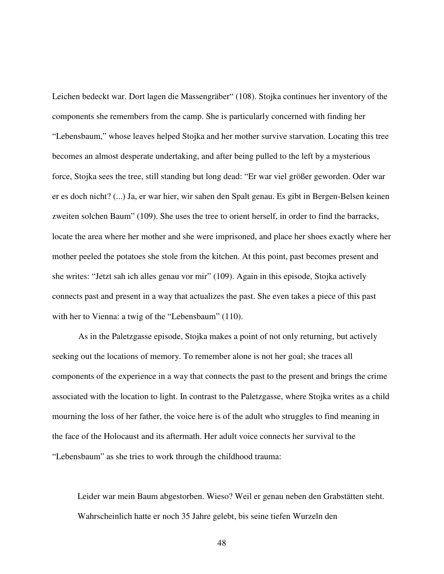Leichen bedeckt war. Dort lagen die Massengräber" (108). Stojka continues her inventory of the components she remembers from the camp. She is particularly concerned with finding her "Lebensbaum," whose leaves helped Stojka and her mother survive starvation. Locating this tree becomes an almost desperate undertaking, and after being pulled to the left by a mysterious force, Stojka sees the tree, still standing but long dead: "Er war viel größer geworden. Oder war er es doch nicht? (...) Ja, er war hier, wir sahen den Spalt genau. Es gibt in Bergen-Belsen keinen zweiten solchen Baum" (109). She uses the tree to orient herself, in order to find the barracks, locate the area where her mother and she were imprisoned, and place her shoes exactly where her mother peeled the potatoes she stole from the kitchen. At this point, past becomes present and she writes: "Jetzt sah ich alles genau vor mir" (109). Again in this episode, Stojka actively connects past and present in a way that actualizes the past. She even takes a piece of this past with her to Vienna: a twig of the "Lebensbaum" (110).

 As in the Paletzgasse episode, Stojka makes a point of not only returning, but actively seeking out the locations of memory. To remember alone is not her goal; she traces all components of the experience in a way that connects the past to the present and brings the crime associated with the location to light. In contrast to the Paletzgasse, where Stojka writes as a child mourning the loss of her father, the voice here is of the adult who struggles to find meaning in the face of the Holocaust and its aftermath. Her adult voice connects her survival to the "Lebensbaum" as she tries to work through the childhood trauma:

Leider war mein Baum abgestorben. Wieso? Weil er genau neben den Grabstätten steht. Wahrscheinlich hatte er noch 35 Jahre gelebt, bis seine tiefen Wurzeln den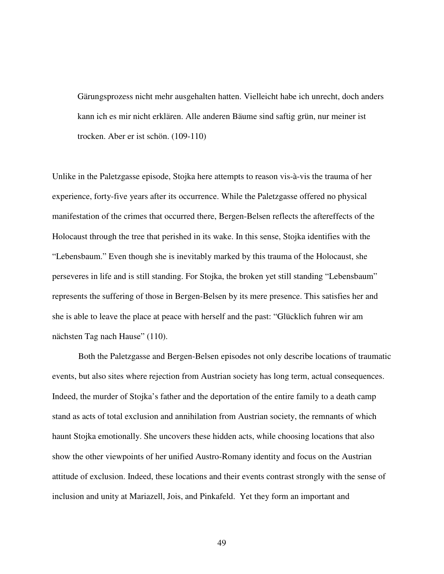Gärungsprozess nicht mehr ausgehalten hatten. Vielleicht habe ich unrecht, doch anders kann ich es mir nicht erklären. Alle anderen Bäume sind saftig grün, nur meiner ist trocken. Aber er ist schön. (109-110)

Unlike in the Paletzgasse episode, Stojka here attempts to reason vis-à-vis the trauma of her experience, forty-five years after its occurrence. While the Paletzgasse offered no physical manifestation of the crimes that occurred there, Bergen-Belsen reflects the aftereffects of the Holocaust through the tree that perished in its wake. In this sense, Stojka identifies with the "Lebensbaum." Even though she is inevitably marked by this trauma of the Holocaust, she perseveres in life and is still standing. For Stojka, the broken yet still standing "Lebensbaum" represents the suffering of those in Bergen-Belsen by its mere presence. This satisfies her and she is able to leave the place at peace with herself and the past: "Glücklich fuhren wir am nächsten Tag nach Hause" (110).

 Both the Paletzgasse and Bergen-Belsen episodes not only describe locations of traumatic events, but also sites where rejection from Austrian society has long term, actual consequences. Indeed, the murder of Stojka's father and the deportation of the entire family to a death camp stand as acts of total exclusion and annihilation from Austrian society, the remnants of which haunt Stojka emotionally. She uncovers these hidden acts, while choosing locations that also show the other viewpoints of her unified Austro-Romany identity and focus on the Austrian attitude of exclusion. Indeed, these locations and their events contrast strongly with the sense of inclusion and unity at Mariazell, Jois, and Pinkafeld. Yet they form an important and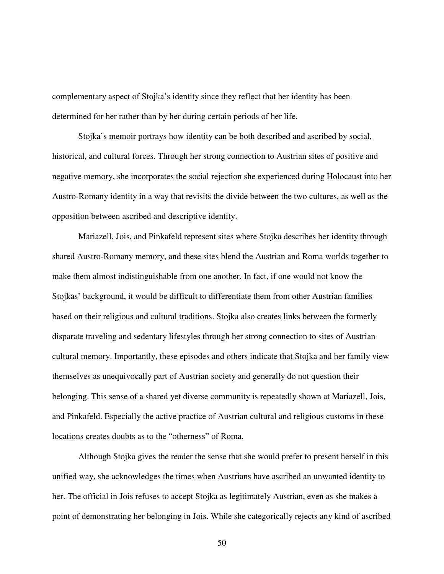complementary aspect of Stojka's identity since they reflect that her identity has been determined for her rather than by her during certain periods of her life.

 Stojka's memoir portrays how identity can be both described and ascribed by social, historical, and cultural forces. Through her strong connection to Austrian sites of positive and negative memory, she incorporates the social rejection she experienced during Holocaust into her Austro-Romany identity in a way that revisits the divide between the two cultures, as well as the opposition between ascribed and descriptive identity.

 Mariazell, Jois, and Pinkafeld represent sites where Stojka describes her identity through shared Austro-Romany memory, and these sites blend the Austrian and Roma worlds together to make them almost indistinguishable from one another. In fact, if one would not know the Stojkas' background, it would be difficult to differentiate them from other Austrian families based on their religious and cultural traditions. Stojka also creates links between the formerly disparate traveling and sedentary lifestyles through her strong connection to sites of Austrian cultural memory. Importantly, these episodes and others indicate that Stojka and her family view themselves as unequivocally part of Austrian society and generally do not question their belonging. This sense of a shared yet diverse community is repeatedly shown at Mariazell, Jois, and Pinkafeld. Especially the active practice of Austrian cultural and religious customs in these locations creates doubts as to the "otherness" of Roma.

 Although Stojka gives the reader the sense that she would prefer to present herself in this unified way, she acknowledges the times when Austrians have ascribed an unwanted identity to her. The official in Jois refuses to accept Stojka as legitimately Austrian, even as she makes a point of demonstrating her belonging in Jois. While she categorically rejects any kind of ascribed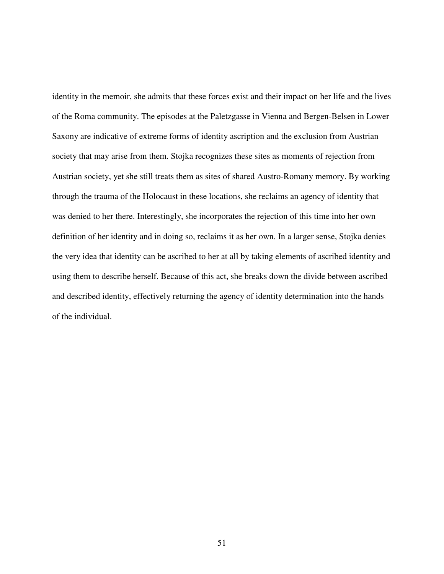identity in the memoir, she admits that these forces exist and their impact on her life and the lives of the Roma community. The episodes at the Paletzgasse in Vienna and Bergen-Belsen in Lower Saxony are indicative of extreme forms of identity ascription and the exclusion from Austrian society that may arise from them. Stojka recognizes these sites as moments of rejection from Austrian society, yet she still treats them as sites of shared Austro-Romany memory. By working through the trauma of the Holocaust in these locations, she reclaims an agency of identity that was denied to her there. Interestingly, she incorporates the rejection of this time into her own definition of her identity and in doing so, reclaims it as her own. In a larger sense, Stojka denies the very idea that identity can be ascribed to her at all by taking elements of ascribed identity and using them to describe herself. Because of this act, she breaks down the divide between ascribed and described identity, effectively returning the agency of identity determination into the hands of the individual.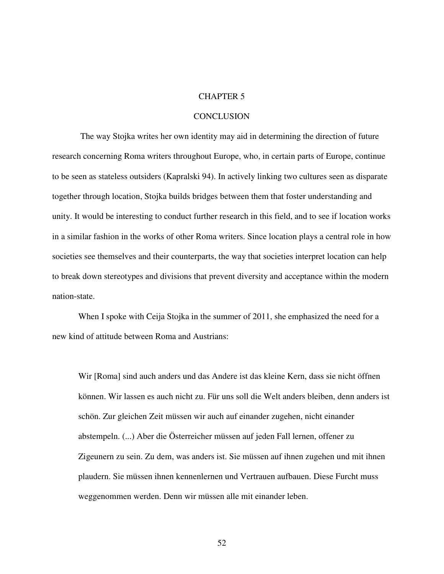### CHAPTER 5

#### **CONCLUSION**

 The way Stojka writes her own identity may aid in determining the direction of future research concerning Roma writers throughout Europe, who, in certain parts of Europe, continue to be seen as stateless outsiders (Kapralski 94). In actively linking two cultures seen as disparate together through location, Stojka builds bridges between them that foster understanding and unity. It would be interesting to conduct further research in this field, and to see if location works in a similar fashion in the works of other Roma writers. Since location plays a central role in how societies see themselves and their counterparts, the way that societies interpret location can help to break down stereotypes and divisions that prevent diversity and acceptance within the modern nation-state.

 When I spoke with Ceija Stojka in the summer of 2011, she emphasized the need for a new kind of attitude between Roma and Austrians:

Wir [Roma] sind auch anders und das Andere ist das kleine Kern, dass sie nicht öffnen können. Wir lassen es auch nicht zu. Für uns soll die Welt anders bleiben, denn anders ist schön. Zur gleichen Zeit müssen wir auch auf einander zugehen, nicht einander abstempeln. (...) Aber die Österreicher müssen auf jeden Fall lernen, offener zu Zigeunern zu sein. Zu dem, was anders ist. Sie müssen auf ihnen zugehen und mit ihnen plaudern. Sie müssen ihnen kennenlernen und Vertrauen aufbauen. Diese Furcht muss weggenommen werden. Denn wir müssen alle mit einander leben.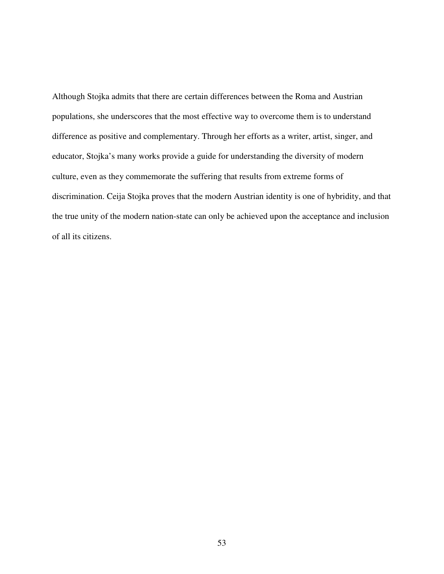Although Stojka admits that there are certain differences between the Roma and Austrian populations, she underscores that the most effective way to overcome them is to understand difference as positive and complementary. Through her efforts as a writer, artist, singer, and educator, Stojka's many works provide a guide for understanding the diversity of modern culture, even as they commemorate the suffering that results from extreme forms of discrimination. Ceija Stojka proves that the modern Austrian identity is one of hybridity, and that the true unity of the modern nation-state can only be achieved upon the acceptance and inclusion of all its citizens.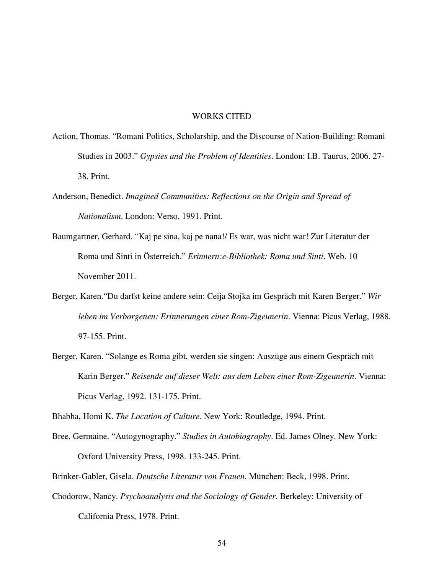#### WORKS CITED

- Action, Thomas. "Romani Politics, Scholarship, and the Discourse of Nation-Building: Romani Studies in 2003." *Gypsies and the Problem of Identities*. London: I.B. Taurus, 2006. 27- 38. Print.
- Anderson, Benedict. *Imagined Communities: Reflections on the Origin and Spread of Nationalism*. London: Verso, 1991. Print.
- Baumgartner, Gerhard. "Kaj pe sina, kaj pe nana!/ Es war, was nicht war! Zur Literatur der Roma und Sinti in Österreich." *Erinnern:e-Bibliothek: Roma und Sinti*. Web. 10 November 2011.
- Berger, Karen."Du darfst keine andere sein: Ceija Stojka im Gespräch mit Karen Berger." *Wir leben im Verborgenen: Erinnerungen einer Rom-Zigeunerin*. Vienna: Picus Verlag, 1988. 97-155. Print.
- Berger, Karen. "Solange es Roma gibt, werden sie singen: Auszüge aus einem Gespräch mit Karin Berger." *Reisende auf dieser Welt: aus dem Leben einer Rom-Zigeunerin*. Vienna: Picus Verlag, 1992. 131-175. Print.

Bhabha, Homi K. *The Location of Culture.* New York: Routledge, 1994. Print.

Bree, Germaine. "Autogynography." *Studies in Autobiography*. Ed. James Olney. New York: Oxford University Press, 1998. 133-245. Print.

Brinker-Gabler, Gisela. *Deutsche Literatur von Frauen.* München: Beck, 1998. Print.

Chodorow, Nancy. *Psychoanalysis and the Sociology of Gender*. Berkeley: University of California Press, 1978. Print.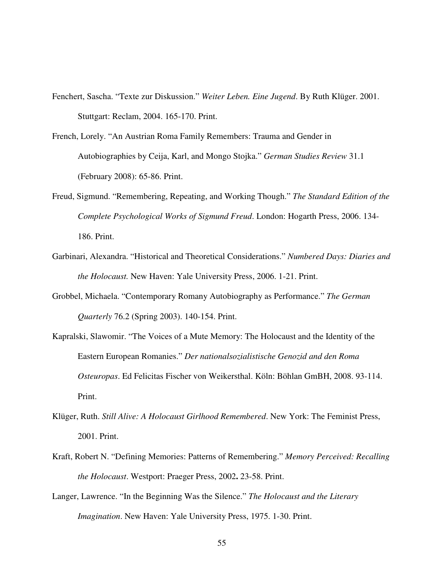- Fenchert, Sascha. "Texte zur Diskussion." *Weiter Leben. Eine Jugend*. By Ruth Klüger. 2001. Stuttgart: Reclam, 2004. 165-170. Print.
- French, Lorely. "An Austrian Roma Family Remembers: Trauma and Gender in Autobiographies by Ceija, Karl, and Mongo Stojka." *German Studies Review* 31.1 (February 2008): 65-86. Print.
- Freud, Sigmund. "Remembering, Repeating, and Working Though." *The Standard Edition of the Complete Psychological Works of Sigmund Freud*. London: Hogarth Press, 2006. 134- 186. Print.
- Garbinari, Alexandra. "Historical and Theoretical Considerations." *Numbered Days: Diaries and the Holocaust.* New Haven: Yale University Press, 2006. 1-21. Print.
- Grobbel, Michaela. "Contemporary Romany Autobiography as Performance." *The German Quarterly* 76.2 (Spring 2003). 140-154. Print.
- Kapralski, Slawomir. "The Voices of a Mute Memory: The Holocaust and the Identity of the Eastern European Romanies." *Der nationalsozialistische Genozid and den Roma Osteuropas*. Ed Felicitas Fischer von Weikersthal. Köln: Böhlan GmBH, 2008. 93-114. Print.
- Klüger, Ruth. *Still Alive: A Holocaust Girlhood Remembered*. New York: The Feminist Press, 2001. Print.
- Kraft, Robert N. "Defining Memories: Patterns of Remembering." *Memory Perceived: Recalling the Holocaust*. Westport: Praeger Press, 2002**.** 23-58. Print.
- Langer, Lawrence. "In the Beginning Was the Silence." *The Holocaust and the Literary Imagination*. New Haven: Yale University Press, 1975. 1-30. Print.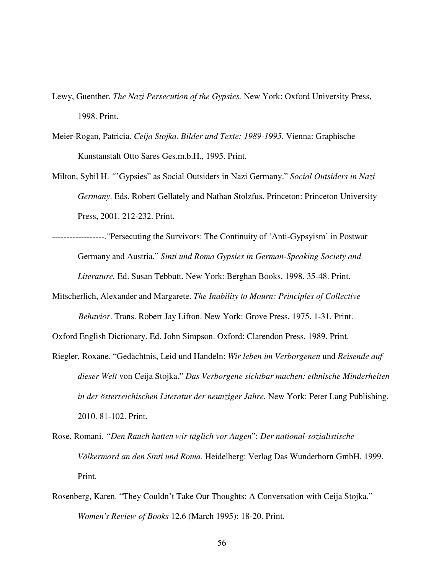- Lewy, Guenther. *The Nazi Persecution of the Gypsies.* New York: Oxford University Press, 1998. Print.
- Meier-Rogan, Patricia. *Ceija Stojka. Bilder und Texte: 1989-1995.* Vienna: Graphische Kunstanstalt Otto Sares Ges.m.b.H., 1995. Print.
- Milton, Sybil H. *"*'Gypsies" as Social Outsiders in Nazi Germany." *Social Outsiders in Nazi Germany*. Eds. Robert Gellately and Nathan Stolzfus. Princeton: Princeton University Press, 2001. 212-232. Print.
- ------------------."Persecuting the Survivors: The Continuity of 'Anti-Gypsyism' in Postwar Germany and Austria." *Sinti und Roma Gypsies in German-Speaking Society and Literature.* Ed. Susan Tebbutt. New York: Berghan Books, 1998. 35-48. Print.
- Mitscherlich, Alexander and Margarete. *The Inability to Mourn: Principles of Collective Behavior*. Trans. Robert Jay Lifton. New York: Grove Press, 1975. 1-31. Print.

Oxford English Dictionary. Ed. John Simpson. Oxford: Clarendon Press, 1989. Print.

- Riegler, Roxane. "Gedächtnis, Leid und Handeln: *Wir leben im Verborgenen* und *Reisende auf dieser Welt* von Ceija Stojka." *Das Verborgene sichtbar machen: ethnische Minderheiten in der österreichischen Literatur der neunziger Jahre.* New York: Peter Lang Publishing, 2010. 81-102. Print.
- Rose, Romani. *"Den Rauch hatten wir täglich vor Augen*": *Der national-sozialistische Völkermord an den Sinti und Roma*. Heidelberg: Verlag Das Wunderhorn GmbH, 1999. Print.
- Rosenberg, Karen. "They Couldn't Take Our Thoughts: A Conversation with Ceija Stojka." *Women's Review of Books* 12.6 (March 1995): 18-20. Print.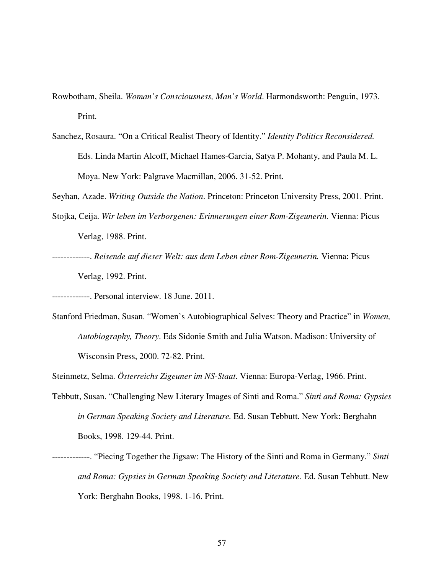- Rowbotham, Sheila. *Woman's Consciousness, Man's World*. Harmondsworth: Penguin, 1973. Print.
- Sanchez, Rosaura. "On a Critical Realist Theory of Identity." *Identity Politics Reconsidered.* Eds. Linda Martin Alcoff, Michael Hames-Garcia, Satya P. Mohanty, and Paula M. L. Moya. New York: Palgrave Macmillan, 2006. 31-52. Print.

Seyhan, Azade. *Writing Outside the Nation*. Princeton: Princeton University Press, 2001. Print.

- Stojka, Ceija. *Wir leben im Verborgenen: Erinnerungen einer Rom-Zigeunerin.* Vienna: Picus Verlag, 1988. Print.
- -------------. *Reisende auf dieser Welt: aus dem Leben einer Rom-Zigeunerin.* Vienna: Picus Verlag, 1992. Print.

-------------. Personal interview. 18 June. 2011.

Stanford Friedman, Susan. "Women's Autobiographical Selves: Theory and Practice" in *Women, Autobiography, Theory*. Eds Sidonie Smith and Julia Watson. Madison: University of Wisconsin Press, 2000. 72-82. Print.

Steinmetz, Selma. *Österreichs Zigeuner im NS-Staat*. Vienna: Europa-Verlag, 1966. Print.

- Tebbutt, Susan. "Challenging New Literary Images of Sinti and Roma." *Sinti and Roma: Gypsies in German Speaking Society and Literature.* Ed. Susan Tebbutt. New York: Berghahn Books, 1998. 129-44. Print.
- -------------. "Piecing Together the Jigsaw: The History of the Sinti and Roma in Germany." *Sinti and Roma: Gypsies in German Speaking Society and Literature.* Ed. Susan Tebbutt. New York: Berghahn Books, 1998. 1-16. Print.